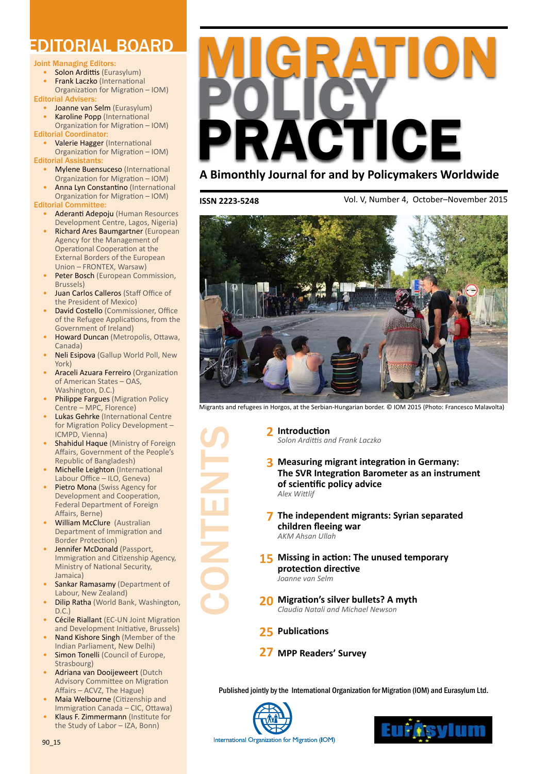### EDITORIAL BOARD

#### Joint Managing Editors:

- **Solon Ardittis (Eurasylum)**
- **Frank Laczko (International** Organization for Migration – IOM)
- Editorial Advisers:
	- Joanne van Selm (Eurasylum)
	- Karoline Popp (International Organization for Migration – IOM)

Editorial Coordinator:

- Valerie Hagger (International Organization for Migration – IOM) Editorial Assistants:
- **Mylene Buensuceso** (International
	- Organization for Migration IOM)
	- Anna Lyn Constantino (International

Organization for Migration – IOM) Editorial Committee:

- **Aderanti Adepoju** (Human Resources Development Centre, Lagos, Nigeria)
- Richard Ares Baumgartner (European Agency for the Management of Operational Cooperation at the External Borders of the European Union – FRONTEX, Warsaw)
- Peter Bosch (European Commission, Brussels)
- Juan Carlos Calleros (Staff Office of the President of Mexico)
- **David Costello** (Commissioner, Office of the Refugee Applications, from the Government of Ireland)
- Howard Duncan (Metropolis, Ottawa, Canada)
- **Neli Esipova** (Gallup World Poll, New York)
- Araceli Azuara Ferreiro (Organization of American States – OAS, Washington, D.C.)
- **Philippe Fargues (Migration Policy** Centre – MPC, Florence)
- Lukas Gehrke (International Centre for Migration Policy Development – ICMPD, Vienna)
- Shahidul Haque (Ministry of Foreign Affairs, Government of the People's Republic of Bangladesh)
- **Michelle Leighton (International** Labour Office – ILO, Geneva)
- Pietro Mona (Swiss Agency for Development and Cooperation, Federal Department of Foreign Affairs, Berne)
- **William McClure** (Australian Department of Immigration and Border Protection)
- Jennifer McDonald (Passport, Immigration and Citizenship Agency, Ministry of National Security, Jamaica)
- Sankar Ramasamy (Department of Labour, New Zealand)
- **Dilip Ratha (World Bank, Washington,**  $D.C.$ )
- **Cécile Riallant (EC-UN Joint Migration** and Development Initiative, Brussels)
- Nand Kishore Singh (Member of the Indian Parliament, New Delhi)
- Simon Tonelli (Council of Europe, Strasbourg)
- Adriana van Dooijeweert (Dutch Advisory Committee on Migration Affairs – ACVZ, The Hague)
- Maia Welbourne (Citizenship and Immigration Canada – CIC, Ottawa)
- Klaus F. Zimmermann (Institute for the Study of Labor – IZA, Bonn)



**ISSN 2223-5248**

CONTENTS

Vol. V, Number 4, October–November 2015



Migrants and refugees in Horgos, at the Serbian-Hungarian border. © IOM 2015 (Photo: Francesco Malavolta)

**[Introduction](#page-1-0) [2](#page-1-0)** *[Solon Ardittis and Frank Laczko](#page-1-0)*

- **[Measuring migrant integration in Germany:](#page-2-0)  [3](#page-2-0) [The SVR Integration Barometer as an instrument](#page-2-0)  [of scientific policy advice](#page-2-0)** *[Alex Wittlif](#page-2-0)*
- **[The independent migrants: Syrian separated](#page-6-0)  [7](#page-6-0) [children fleeing war](#page-6-0)** *[AKM Ahsan Ullah](#page-6-0)*
- **[15](#page-14-0)** Missing in action: The unused temporary **[protection directive](#page-14-0)** *[Joanne van Selm](#page-14-0)*
- **[Migration's silver bullets? A myth](#page-19-0) [20](#page-19-0)** *[Claudia Natali and Michael Newson](#page-19-0)*
- **[Publications](#page-24-0) [25](#page-24-0)**
- **[MPP Readers' Survey](#page-26-0) [27](#page-26-0)**

Published jointly by the International Organization for Migration (IOM) and Eurasylum Ltd.



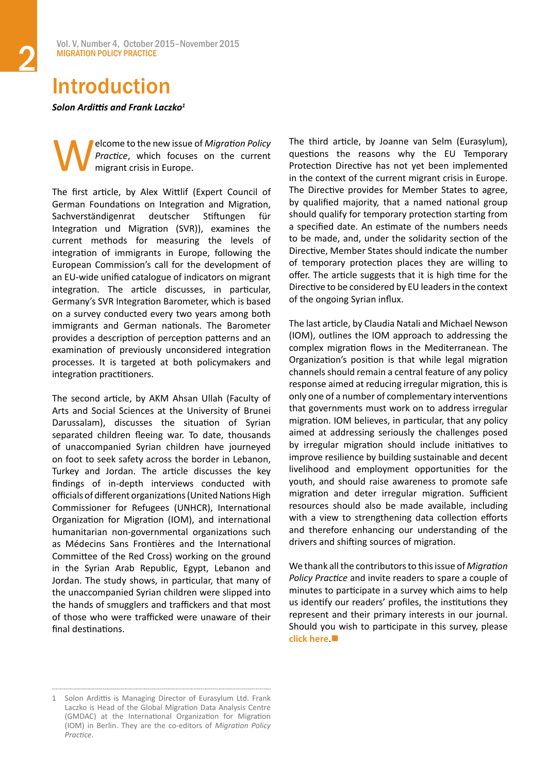### <span id="page-1-0"></span>Introduction

*Solon Ardittis and Frank Laczko<sup>1</sup>*

**Welcome to the new issue of** *Migration Policy*<br>*Practice*, which focuses on the current<br>migrant crisis in Europe. *Practice*, which focuses on the current migrant crisis in Europe.

The first article, by Alex Wittlif (Expert Council of German Foundations on Integration and Migration, Sachverständigenrat deutscher Stiftungen für Integration und Migration (SVR)), examines the current methods for measuring the levels of integration of immigrants in Europe, following the European Commission's call for the development of an EU-wide unified catalogue of indicators on migrant integration. The article discusses, in particular, Germany's SVR Integration Barometer, which is based on a survey conducted every two years among both immigrants and German nationals. The Barometer provides a description of perception patterns and an examination of previously unconsidered integration processes. It is targeted at both policymakers and integration practitioners.

The second article, by AKM Ahsan Ullah (Faculty of Arts and Social Sciences at the University of Brunei Darussalam), discusses the situation of Syrian separated children fleeing war. To date, thousands of unaccompanied Syrian children have journeyed on foot to seek safety across the border in Lebanon, Turkey and Jordan. The article discusses the key findings of in-depth interviews conducted with officials of different organizations (United Nations High Commissioner for Refugees (UNHCR), International Organization for Migration (IOM), and international humanitarian non-governmental organizations such as Médecins Sans Frontières and the International Committee of the Red Cross) working on the ground in the Syrian Arab Republic, Egypt, Lebanon and Jordan. The study shows, in particular, that many of the unaccompanied Syrian children were slipped into the hands of smugglers and traffickers and that most of those who were trafficked were unaware of their final destinations.

The third article, by Joanne van Selm (Eurasylum), questions the reasons why the EU Temporary Protection Directive has not yet been implemented in the context of the current migrant crisis in Europe. The Directive provides for Member States to agree, by qualified majority, that a named national group should qualify for temporary protection starting from a specified date. An estimate of the numbers needs to be made, and, under the solidarity section of the Directive, Member States should indicate the number of temporary protection places they are willing to offer. The article suggests that it is high time for the Directive to be considered by EU leaders in the context of the ongoing Syrian influx.

The last article, by Claudia Natali and Michael Newson (IOM), outlines the IOM approach to addressing the complex migration flows in the Mediterranean. The Organization's position is that while legal migration channels should remain a central feature of any policy response aimed at reducing irregular migration, this is only one of a number of complementary interventions that governments must work on to address irregular migration. IOM believes, in particular, that any policy aimed at addressing seriously the challenges posed by irregular migration should include initiatives to improve resilience by building sustainable and decent livelihood and employment opportunities for the youth, and should raise awareness to promote safe migration and deter irregular migration. Sufficient resources should also be made available, including with a view to strengthening data collection efforts and therefore enhancing our understanding of the drivers and shifting sources of migration.

We thank all the contributors to this issue of *Migration Policy Practice* and invite readers to spare a couple of minutes to participate in a survey which aims to help us identify our readers' profiles, the institutions they represent and their primary interests in our journal. Should you wish to participate in this survey, please **[click here](https://www.surveymonkey.com/s/J3M7PS5).** 

<sup>1</sup> Solon Ardittis is Managing Director of Eurasylum Ltd. Frank Laczko is Head of the Global Migration Data Analysis Centre (GMDAC) at the International Organization for Migration (IOM) in Berlin. They are the co-editors of *Migration Policy Practice*.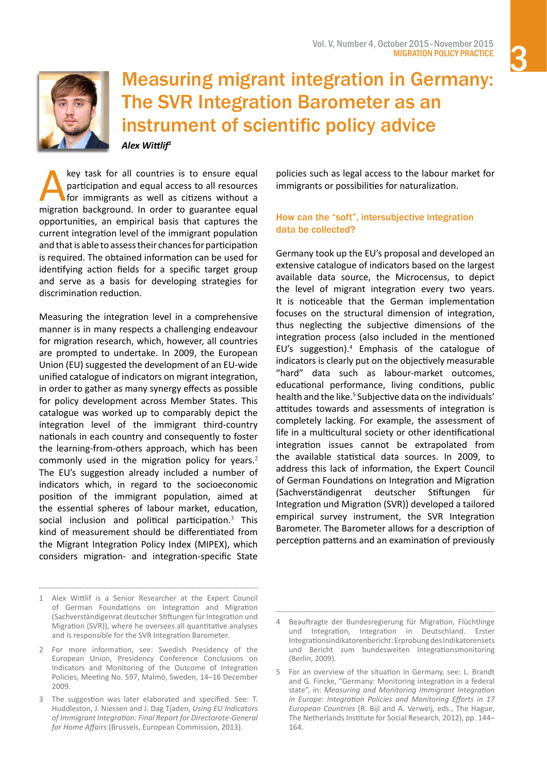

<span id="page-2-0"></span>

Measuring migrant integration in Germany: The SVR Integration Barometer as an instrument of scientific policy advice *Alex Wittlif1*

key task for all countries is to ensure equal<br>participation and equal access to all resources<br>for immigrants as well as citizens without a<br>migration background. In order to guarantee equal participation and equal access to all resources for immigrants as well as citizens without a migration background. In order to guarantee equal opportunities, an empirical basis that captures the current integration level of the immigrant population and that is able to assess their chances for participation is required. The obtained information can be used for identifying action fields for a specific target group and serve as a basis for developing strategies for discrimination reduction.

Measuring the integration level in a comprehensive manner is in many respects a challenging endeavour for migration research, which, however, all countries are prompted to undertake. In 2009, the European Union (EU) suggested the development of an EU-wide unified catalogue of indicators on migrant integration, in order to gather as many synergy effects as possible for policy development across Member States. This catalogue was worked up to comparably depict the integration level of the immigrant third-country nationals in each country and consequently to foster the learning-from-others approach, which has been commonly used in the migration policy for years.<sup>2</sup> The EU's suggestion already included a number of indicators which, in regard to the socioeconomic position of the immigrant population, aimed at the essential spheres of labour market, education, social inclusion and political participation.<sup>3</sup> This kind of measurement should be differentiated from the Migrant Integration Policy Index (MIPEX), which considers migration- and integration-specific State policies such as legal access to the labour market for immigrants or possibilities for naturalization.

#### How can the "soft", intersubjective integration data be collected?

Germany took up the EU's proposal and developed an extensive catalogue of indicators based on the largest available data source, the Microcensus, to depict the level of migrant integration every two years. It is noticeable that the German implementation focuses on the structural dimension of integration, thus neglecting the subjective dimensions of the integration process (also included in the mentioned EU's suggestion).4 Emphasis of the catalogue of indicators is clearly put on the objectively measurable "hard" data such as labour-market outcomes, educational performance, living conditions, public health and the like.<sup>5</sup> Subjective data on the individuals' attitudes towards and assessments of integration is completely lacking. For example, the assessment of life in a multicultural society or other identificational integration issues cannot be extrapolated from the available statistical data sources. In 2009, to address this lack of information, the Expert Council of German Foundations on Integration and Migration (Sachverständigenrat deutscher Stiftungen für Integration und Migration (SVR)) developed a tailored empirical survey instrument, the SVR Integration Barometer. The Barometer allows for a description of perception patterns and an examination of previously

<sup>1</sup> Alex Wittlif is a Senior Researcher at the Expert Council of German Foundations on Integration and Migration (Sachverständigenrat deutscher Stiftungen für Integration und Migration (SVR)), where he oversees all quantitative analyses and is responsible for the SVR Integration Barometer.

<sup>2</sup> For more information, see: Swedish Presidency of the European Union, Presidency Conference Conclusions on Indicators and Monitoring of the Outcome of Integration Policies, Meeting No. 597, Malmö, Sweden, 14–16 December 2009.

<sup>3</sup> The suggestion was later elaborated and specified. See: T. Huddleston, J. Niessen and J. Dag Tjaden, *Using EU Indicators of Immigrant Integration: Final Report for Directorate-General for Home Affairs* (Brussels, European Commission, 2013).

Beauftragte der Bundesregierung für Migration, Flüchtlinge und Integration, Integration in Deutschland. Erster Integrationsindikatorenbericht:ErprobungdesIndikatorensets und Bericht zum bundesweiten Integrationsmonitoring (Berlin, 2009).

<sup>5</sup> For an overview of the situation in Germany, see: L. Brandt and G. Fincke, "Germany: Monitoring integration in a federal state", in: *Measuring and Monitoring Immigrant Integration in Europe: Integration Policies and Monitoring Efforts in 17 European Countries* (R. Bijl and A. Verweij, eds., The Hague, The Netherlands Institute for Social Research, 2012), pp. 144– 164.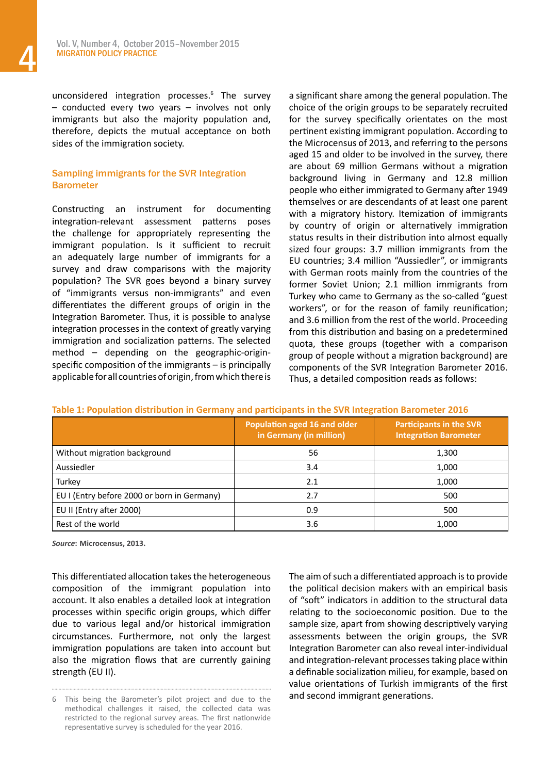unconsidered integration processes.<sup>6</sup> The survey – conducted every two years – involves not only immigrants but also the majority population and, therefore, depicts the mutual acceptance on both sides of the immigration society.

#### Sampling immigrants for the SVR Integration **Barometer**

Constructing an instrument for documenting integration-relevant assessment patterns poses the challenge for appropriately representing the immigrant population. Is it sufficient to recruit an adequately large number of immigrants for a survey and draw comparisons with the majority population? The SVR goes beyond a binary survey of "immigrants versus non-immigrants" and even differentiates the different groups of origin in the Integration Barometer. Thus, it is possible to analyse integration processes in the context of greatly varying immigration and socialization patterns. The selected method – depending on the geographic-originspecific composition of the immigrants – is principally applicable for all countries of origin, from which there is a significant share among the general population. The choice of the origin groups to be separately recruited for the survey specifically orientates on the most pertinent existing immigrant population. According to the Microcensus of 2013, and referring to the persons aged 15 and older to be involved in the survey, there are about 69 million Germans without a migration background living in Germany and 12.8 million people who either immigrated to Germany after 1949 themselves or are descendants of at least one parent with a migratory history. Itemization of immigrants by country of origin or alternatively immigration status results in their distribution into almost equally sized four groups: 3.7 million immigrants from the EU countries; 3.4 million "Aussiedler", or immigrants with German roots mainly from the countries of the former Soviet Union; 2.1 million immigrants from Turkey who came to Germany as the so-called "guest workers", or for the reason of family reunification; and 3.6 million from the rest of the world. Proceeding from this distribution and basing on a predetermined quota, these groups (together with a comparison group of people without a migration background) are components of the SVR Integration Barometer 2016. Thus, a detailed composition reads as follows:

|                                             | Population aged 16 and older<br>in Germany (in million) | <b>Participants in the SVR</b><br><b>Integration Barometer</b> |
|---------------------------------------------|---------------------------------------------------------|----------------------------------------------------------------|
| Without migration background                | 56                                                      | 1,300                                                          |
| Aussiedler                                  | 3.4                                                     | 1,000                                                          |
| Turkey                                      | 2.1                                                     | 1,000                                                          |
| EU I (Entry before 2000 or born in Germany) | 2.7                                                     | 500                                                            |
| EU II (Entry after 2000)                    | 0.9                                                     | 500                                                            |
| Rest of the world                           | 3.6                                                     | 1,000                                                          |

|  | Table 1: Population distribution in Germany and participants in the SVR Integration Barometer 2016 |  |  |
|--|----------------------------------------------------------------------------------------------------|--|--|
|--|----------------------------------------------------------------------------------------------------|--|--|

*Source***: Microcensus, 2013.**

This differentiated allocation takes the heterogeneous composition of the immigrant population into account. It also enables a detailed look at integration processes within specific origin groups, which differ due to various legal and/or historical immigration circumstances. Furthermore, not only the largest immigration populations are taken into account but also the migration flows that are currently gaining strength (EU II).

The aim of such a differentiated approach is to provide the political decision makers with an empirical basis of "soft" indicators in addition to the structural data relating to the socioeconomic position. Due to the sample size, apart from showing descriptively varying assessments between the origin groups, the SVR Integration Barometer can also reveal inter-individual and integration-relevant processestaking place within a definable socialization milieu, for example, based on value orientations of Turkish immigrants of the first and second immigrant generations.

<sup>6</sup> This being the Barometer's pilot project and due to the methodical challenges it raised, the collected data was restricted to the regional survey areas. The first nationwide representative survey is scheduled for the year 2016.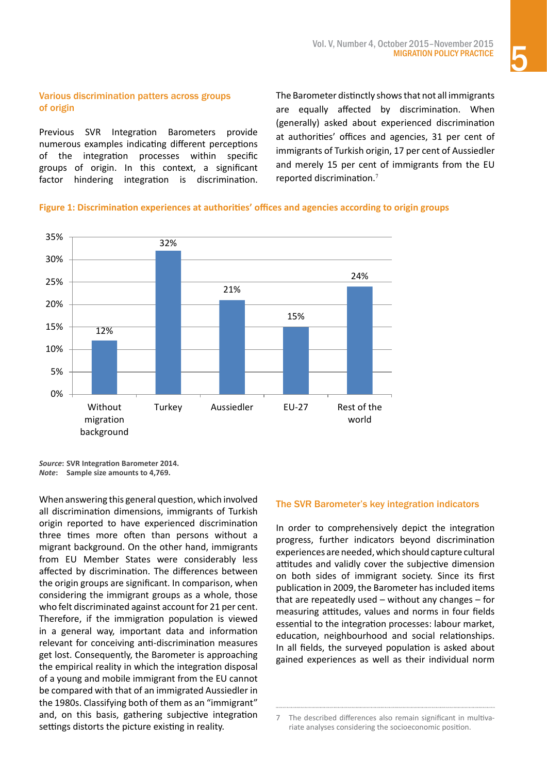#### Various discrimination patters across groups of origin

Previous SVR Integration Barometers provide numerous examples indicating different perceptions of the integration processes within specific groups of origin. In this context, a significant factor hindering integration is discrimination. The Barometer distinctly showsthat not all immigrants are equally affected by discrimination. When (generally) asked about experienced discrimination at authorities' offices and agencies, 31 per cent of immigrants of Turkish origin, 17 per cent of Aussiedler and merely 15 per cent of immigrants from the EU reported discrimination.<sup>7</sup>

### **Figure 1: Discrimination experiences at authorities' offices and agencies according to origin groups**



*Source***: SVR Integration Barometer 2014.**  *Note***: Sample size amounts to 4,769.** 

When answering this general question, which involved all discrimination dimensions, immigrants of Turkish origin reported to have experienced discrimination three times more often than persons without a migrant background. On the other hand, immigrants from EU Member States were considerably less affected by discrimination. The differences between the origin groups are significant. In comparison, when considering the immigrant groups as a whole, those who felt discriminated against account for 21 per cent. Therefore, if the immigration population is viewed in a general way, important data and information relevant for conceiving anti-discrimination measures get lost. Consequently, the Barometer is approaching the empirical reality in which the integration disposal of a young and mobile immigrant from the EU cannot be compared with that of an immigrated Aussiedler in the 1980s. Classifying both of them as an "immigrant" and, on this basis, gathering subjective integration settings distorts the picture existing in reality.

#### The SVR Barometer's key integration indicators

In order to comprehensively depict the integration progress, further indicators beyond discrimination experiences are needed,which should capture cultural attitudes and validly cover the subjective dimension on both sides of immigrant society. Since its first publication in 2009, the Barometer has included items that are repeatedly used – without any changes – for measuring attitudes, values and norms in four fields essential to the integration processes: labour market, education, neighbourhood and social relationships. In all fields, the surveyed population is asked about gained experiences as well as their individual norm

<sup>7</sup> The described differences also remain significant in multivariate analyses considering the socioeconomic position.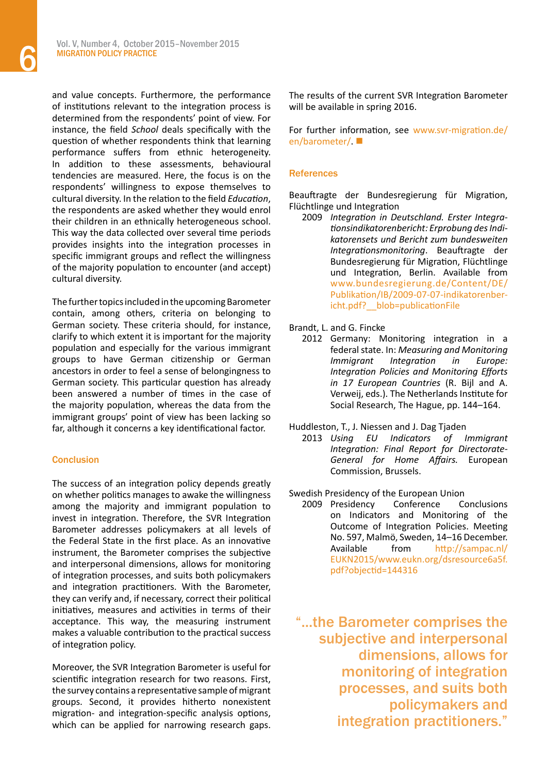and value concepts. Furthermore, the performance of institutions relevant to the integration process is determined from the respondents' point of view. For instance, the field *School* deals specifically with the question of whether respondents think that learning performance suffers from ethnic heterogeneity. In addition to these assessments, behavioural tendencies are measured. Here, the focus is on the respondents' willingness to expose themselves to cultural diversity. In the relation to the field *Education*, the respondents are asked whether they would enrol their children in an ethnically heterogeneous school. This way the data collected over several time periods provides insights into the integration processes in specific immigrant groups and reflect the willingness of the majority population to encounter (and accept) cultural diversity.

The further topics included in the upcoming Barometer contain, among others, criteria on belonging to German society. These criteria should, for instance, clarify to which extent it is important for the majority population and especially for the various immigrant groups to have German citizenship or German ancestors in order to feel a sense of belongingness to German society. This particular question has already been answered a number of times in the case of the majority population, whereas the data from the immigrant groups' point of view has been lacking so far, although it concerns a key identificational factor.

#### Conclusion

The success of an integration policy depends greatly on whether politics manages to awake the willingness among the majority and immigrant population to invest in integration. Therefore, the SVR Integration Barometer addresses policymakers at all levels of the Federal State in the first place. As an innovative instrument, the Barometer comprises the subjective and interpersonal dimensions, allows for monitoring of integration processes, and suits both policymakers and integration practitioners. With the Barometer, they can verify and, if necessary, correct their political initiatives, measures and activities in terms of their acceptance. This way, the measuring instrument makes a valuable contribution to the practical success of integration policy.

Moreover, the SVR Integration Barometer is useful for scientific integration research for two reasons. First, the survey contains a representative sample of migrant groups. Second, it provides hitherto nonexistent migration- and integration-specific analysis options, which can be applied for narrowing research gaps. The results of the current SVR Integration Barometer will be available in spring 2016.

For further information, see [www.svr-migration.de/](http://www.svr-migration.de/en/barometer/) en/barometer/ $\blacksquare$ 

#### **References**

Beauftragte der Bundesregierung für Migration, Flüchtlinge und Integration

2009 *Integration in Deutschland. Erster Integrationsindikatorenbericht: Erprobung des Indikatorensets und Bericht zum bundesweiten Integrationsmonitoring*. Beauftragte der Bundesregierung für Migration, Flüchtlinge und Integration, Berlin. Available from [www.bundesregierung.de/Content/DE/](http://www.bundesregierung.de/Content/DE/Publikation/IB/2009-07-07-indikatorenbericht.pdf?__blob=publicationFile) [Publikation/IB/2009-07-07-indikatorenber](http://www.bundesregierung.de/Content/DE/Publikation/IB/2009-07-07-indikatorenbericht.pdf?__blob=publicationFile)[icht.pdf?\\_\\_blob=publicationFile](http://www.bundesregierung.de/Content/DE/Publikation/IB/2009-07-07-indikatorenbericht.pdf?__blob=publicationFile)

#### Brandt, L. and G. Fincke

2012 Germany: Monitoring integration in a federal state. In: *Measuring and Monitoring Immigrant Integration in Europe: Integration Policies and Monitoring Efforts in 17 European Countries* (R. Bijl and A. Verweij, eds.). The Netherlands Institute for Social Research, The Hague, pp. 144–164.

Huddleston, T., J. Niessen and J. Dag Tjaden

- 2013 *Using EU Indicators of Immigrant Integration: Final Report for Directorate-General for Home Affairs.* European Commission, Brussels.
- Swedish Presidency of the European Union
	- 2009 Presidency Conference Conclusions on Indicators and Monitoring of the Outcome of Integration Policies. Meeting No. 597, Malmö, Sweden, 14–16 December. Available from [http://sampac.nl/](http://sampac.nl/EUKN2015/www.eukn.org/dsresource6a5f.pdf?objectid=144316) [EUKN2015/www.eukn.org/dsresource6a5f.](http://sampac.nl/EUKN2015/www.eukn.org/dsresource6a5f.pdf?objectid=144316) [pdf?objectid=144316](http://sampac.nl/EUKN2015/www.eukn.org/dsresource6a5f.pdf?objectid=144316)

"...the Barometer comprises the subjective and interpersonal dimensions, allows for monitoring of integration processes, and suits both policymakers and integration practitioners."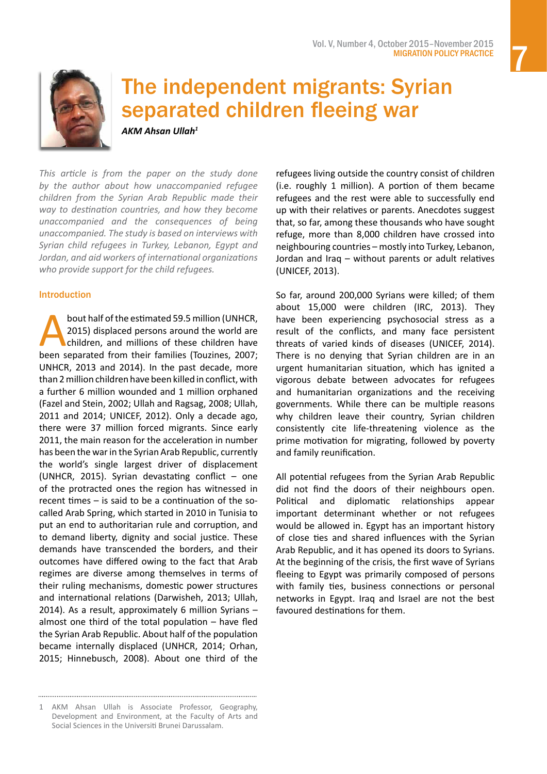<span id="page-6-0"></span>

## The independent migrants: Syrian separated children fleeing war

*AKM Ahsan Ullah<sup>1</sup>*

*This article is from the paper on the study done by the author about how unaccompanied refugee children from the Syrian Arab Republic made their way to destination countries, and how they become unaccompanied and the consequences of being unaccompanied. The study is based on interviews with Syrian child refugees in Turkey, Lebanon, Egypt and Jordan, and aid workers of international organizations who provide support for the child refugees.*

#### Introduction

bout half of the estimated 59.5 million (UNHCR,<br>2015) displaced persons around the world are<br>children, and millions of these children have<br>been separated from their families (Touzines, 2007; 2015) displaced persons around the world are children, and millions of these children have been separated from their families (Touzines, 2007; UNHCR, 2013 and 2014). In the past decade, more than 2million children have been killed in conflict, with a further 6 million wounded and 1 million orphaned (Fazel and Stein, 2002; Ullah and Ragsag, 2008; Ullah, 2011 and 2014; UNICEF, 2012). Only a decade ago, there were 37 million forced migrants. Since early 2011, the main reason for the acceleration in number has been the warin the Syrian Arab Republic, currently the world's single largest driver of displacement (UNHCR, 2015). Syrian devastating conflict  $-$  one of the protracted ones the region has witnessed in recent times – is said to be a continuation of the socalled Arab Spring, which started in 2010 in Tunisia to put an end to authoritarian rule and corruption, and to demand liberty, dignity and social justice. These demands have transcended the borders, and their outcomes have differed owing to the fact that Arab regimes are diverse among themselves in terms of their ruling mechanisms, domestic power structures and international relations (Darwisheh, 2013; Ullah, 2014). As a result, approximately 6 million Syrians – almost one third of the total population – have fled the Syrian Arab Republic. About half of the population became internally displaced (UNHCR, 2014; Orhan, 2015; Hinnebusch, 2008). About one third of the

refugees living outside the country consist of children (i.e. roughly 1 million). A portion of them became refugees and the rest were able to successfully end up with their relatives or parents. Anecdotes suggest that, so far, among these thousands who have sought refuge, more than 8,000 children have crossed into neighbouring countries – mostly into Turkey, Lebanon, Jordan and Iraq – without parents or adult relatives (UNICEF, 2013).

So far, around 200,000 Syrians were killed; of them about 15,000 were children (IRC, 2013). They have been experiencing psychosocial stress as a result of the conflicts, and many face persistent threats of varied kinds of diseases (UNICEF, 2014). There is no denying that Syrian children are in an urgent humanitarian situation, which has ignited a vigorous debate between advocates for refugees and humanitarian organizations and the receiving governments. While there can be multiple reasons why children leave their country, Syrian children consistently cite life-threatening violence as the prime motivation for migrating, followed by poverty and family reunification.

All potential refugees from the Syrian Arab Republic did not find the doors of their neighbours open. Political and diplomatic relationships appear important determinant whether or not refugees would be allowed in. Egypt has an important history of close ties and shared influences with the Syrian Arab Republic, and it has opened its doors to Syrians. At the beginning of the crisis, the first wave of Syrians fleeing to Egypt was primarily composed of persons with family ties, business connections or personal networks in Egypt. Iraq and Israel are not the best favoured destinations for them.

<sup>1</sup> AKM Ahsan Ullah is Associate Professor, Geography, Development and Environment, at the Faculty of Arts and Social Sciences in the Universiti Brunei Darussalam.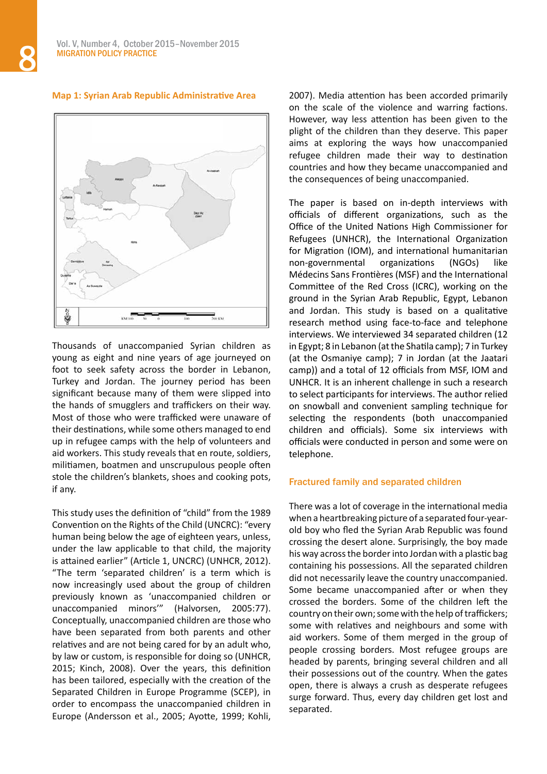#### **Map 1: Syrian Arab Republic Administrative Area**



Thousands of unaccompanied Syrian children as young as eight and nine years of age journeyed on foot to seek safety across the border in Lebanon, Turkey and Jordan. The journey period has been significant because many of them were slipped into the hands of smugglers and traffickers on their way. Most of those who were trafficked were unaware of their destinations, while some others managed to end up in refugee camps with the help of volunteers and aid workers. This study reveals that en route, soldiers, militiamen, boatmen and unscrupulous people often stole the children's blankets, shoes and cooking pots, if any.

This study uses the definition of "child" from the 1989 Convention on the Rights of the Child (UNCRC): "every human being below the age of eighteen years, unless, under the law applicable to that child, the majority is attained earlier" (Article 1, UNCRC) (UNHCR, 2012). "The term 'separated children' is a term which is now increasingly used about the group of children previously known as 'unaccompanied children or unaccompanied minors'" (Halvorsen, 2005:77). Conceptually, unaccompanied children are those who have been separated from both parents and other relatives and are not being cared for by an adult who, by law or custom, is responsible for doing so (UNHCR, 2015; Kinch, 2008). Over the years, this definition has been tailored, especially with the creation of the Separated Children in Europe Programme (SCEP), in order to encompass the unaccompanied children in Europe (Andersson et al., 2005; Ayotte, 1999; Kohli,

2007). Media attention has been accorded primarily on the scale of the violence and warring factions. However, way less attention has been given to the plight of the children than they deserve. This paper aims at exploring the ways how unaccompanied refugee children made their way to destination countries and how they became unaccompanied and the consequences of being unaccompanied.

The paper is based on in-depth interviews with officials of different organizations, such as the Office of the United Nations High Commissioner for Refugees (UNHCR), the International Organization for Migration (IOM), and international humanitarian non-governmental organizations (NGOs) like Médecins Sans Frontières (MSF) and the International Committee of the Red Cross (ICRC), working on the ground in the Syrian Arab Republic, Egypt, Lebanon and Jordan. This study is based on a qualitative research method using face-to-face and telephone interviews. We interviewed 34 separated children (12 in Egypt; 8 in Lebanon (atthe Shatila camp); 7 in Turkey (at the Osmaniye camp); 7 in Jordan (at the Jaatari camp)) and a total of 12 officials from MSF, IOM and UNHCR. It is an inherent challenge in such a research to select participants for interviews. The author relied on snowball and convenient sampling technique for selecting the respondents (both unaccompanied children and officials). Some six interviews with officials were conducted in person and some were on telephone.

#### Fractured family and separated children

There was a lot of coverage in the international media when a heartbreaking picture of a separated four-yearold boy who fled the Syrian Arab Republic was found crossing the desert alone. Surprisingly, the boy made his way across the border into Jordan with a plastic bag containing his possessions. All the separated children did not necessarily leave the country unaccompanied. Some became unaccompanied after or when they crossed the borders. Some of the children left the country on their own; some with the help of traffickers; some with relatives and neighbours and some with aid workers. Some of them merged in the group of people crossing borders. Most refugee groups are headed by parents, bringing several children and all their possessions out of the country. When the gates open, there is always a crush as desperate refugees surge forward. Thus, every day children get lost and separated.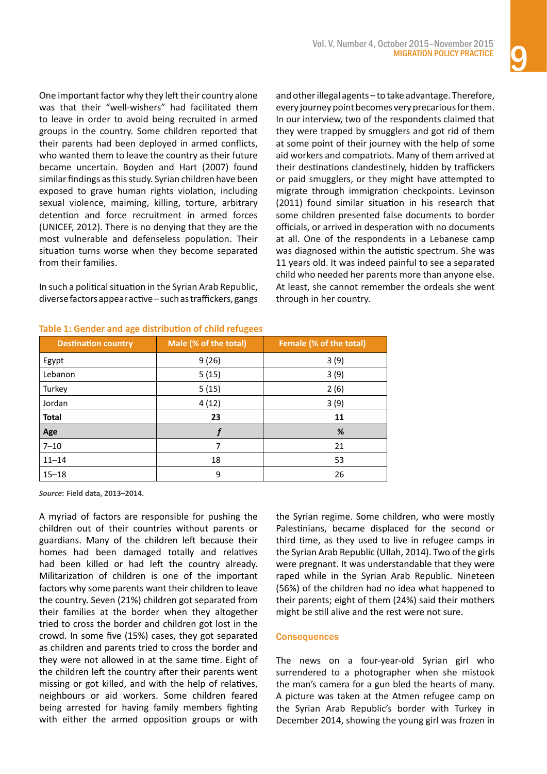One important factor why they left their country alone was that their "well-wishers" had facilitated them to leave in order to avoid being recruited in armed groups in the country. Some children reported that their parents had been deployed in armed conflicts, who wanted them to leave the country as their future became uncertain. Boyden and Hart (2007) found similar findings as this study. Syrian children have been exposed to grave human rights violation, including sexual violence, maiming, killing, torture, arbitrary detention and force recruitment in armed forces (UNICEF, 2012). There is no denying that they are the most vulnerable and defenseless population. Their situation turns worse when they become separated from their families.

In such a political situation in the Syrian Arab Republic, diversefactorsappearactive–suchastraffickers,gangs

and otherillegal agents – to take advantage. Therefore, every journey point becomes very precariousforthem. In our interview, two of the respondents claimed that they were trapped by smugglers and got rid of them at some point of their journey with the help of some aid workers and compatriots. Many of them arrived at their destinations clandestinely, hidden by traffickers or paid smugglers, or they might have attempted to migrate through immigration checkpoints. Levinson (2011) found similar situation in his research that some children presented false documents to border officials, or arrived in desperation with no documents at all. One of the respondents in a Lebanese camp was diagnosed within the autistic spectrum. She was 11 years old. It was indeed painful to see a separated child who needed her parents more than anyone else. At least, she cannot remember the ordeals she went through in her country.

| ີ<br>ີ                     |                       |                         |  |
|----------------------------|-----------------------|-------------------------|--|
| <b>Destination country</b> | Male (% of the total) | Female (% of the total) |  |
| Egypt                      | 9(26)                 | 3(9)                    |  |
| Lebanon                    | 5(15)                 | 3(9)                    |  |
| Turkey                     | 5(15)                 | 2(6)                    |  |
| Jordan                     | 4(12)                 | 3(9)                    |  |
| <b>Total</b>               | 23                    | 11                      |  |
| Age                        |                       | %                       |  |
| $7 - 10$                   |                       | 21                      |  |
| $11 - 14$                  | 18                    | 53                      |  |
| $15 - 18$                  | 9                     | 26                      |  |

#### **Table 1: Gender and age distribution of child refugees**

*Source***: Field data, 2013–2014.**

A myriad of factors are responsible for pushing the children out of their countries without parents or guardians. Many of the children left because their homes had been damaged totally and relatives had been killed or had left the country already. Militarization of children is one of the important factors why some parents want their children to leave the country. Seven (21%) children got separated from their families at the border when they altogether tried to cross the border and children got lost in the crowd. In some five (15%) cases, they got separated as children and parents tried to cross the border and they were not allowed in at the same time. Eight of the children left the country after their parents went missing or got killed, and with the help of relatives, neighbours or aid workers. Some children feared being arrested for having family members fighting with either the armed opposition groups or with

the Syrian regime. Some children, who were mostly Palestinians, became displaced for the second or third time, as they used to live in refugee camps in the Syrian Arab Republic (Ullah, 2014). Two of the girls were pregnant. It was understandable that they were raped while in the Syrian Arab Republic. Nineteen (56%) of the children had no idea what happened to their parents; eight of them (24%) said their mothers might be still alive and the rest were not sure.

#### **Consequences**

The news on a four-year-old Syrian girl who surrendered to a photographer when she mistook the man's camera for a gun bled the hearts of many. A picture was taken at the Atmen refugee camp on the Syrian Arab Republic's border with Turkey in December 2014, showing the young girl was frozen in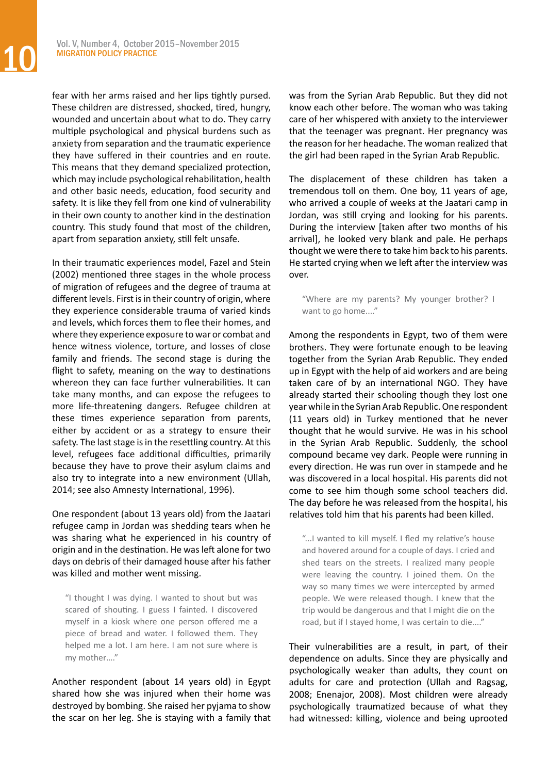fear with her arms raised and her lips tightly pursed. These children are distressed, shocked, tired, hungry, wounded and uncertain about what to do. They carry multiple psychological and physical burdens such as anxiety from separation and the traumatic experience they have suffered in their countries and en route. This means that they demand specialized protection, which may include psychological rehabilitation, health and other basic needs, education, food security and safety. It is like they fell from one kind of vulnerability in their own county to another kind in the destination country. This study found that most of the children, apart from separation anxiety, still felt unsafe.

In their traumatic experiences model, Fazel and Stein (2002) mentioned three stages in the whole process of migration of refugees and the degree of trauma at different levels. First is in their country of origin, where they experience considerable trauma of varied kinds and levels, which forces them to flee their homes, and where they experience exposure to war or combat and hence witness violence, torture, and losses of close family and friends. The second stage is during the flight to safety, meaning on the way to destinations whereon they can face further vulnerabilities. It can take many months, and can expose the refugees to more life-threatening dangers. Refugee children at these times experience separation from parents, either by accident or as a strategy to ensure their safety. The last stage is in the resettling country. At this level, refugees face additional difficulties, primarily because they have to prove their asylum claims and also try to integrate into a new environment (Ullah, 2014; see also Amnesty International, 1996).

One respondent (about 13 years old) from the Jaatari refugee camp in Jordan was shedding tears when he was sharing what he experienced in his country of origin and in the destination. He wasleft alone for two days on debris of their damaged house after hisfather was killed and mother went missing.

"I thought I was dying. I wanted to shout but was scared of shouting. I guess I fainted. I discovered myself in a kiosk where one person offered me a piece of bread and water. I followed them. They helped me a lot. I am here. I am not sure where is my mother…."

Another respondent (about 14 years old) in Egypt shared how she was injured when their home was destroyed by bombing. She raised her pyjama to show the scar on her leg. She is staying with a family that was from the Syrian Arab Republic. But they did not know each other before. The woman who was taking care of her whispered with anxiety to the interviewer that the teenager was pregnant. Her pregnancy was the reason for her headache. The woman realized that the girl had been raped in the Syrian Arab Republic.

The displacement of these children has taken a tremendous toll on them. One boy, 11 years of age, who arrived a couple of weeks at the Jaatari camp in Jordan, was still crying and looking for his parents. During the interview [taken after two months of his arrival], he looked very blank and pale. He perhaps thought we were there to take him back to his parents. He started crying when we left after the interview was over.

"Where are my parents? My younger brother? I want to go home...."

Among the respondents in Egypt, two of them were brothers. They were fortunate enough to be leaving together from the Syrian Arab Republic. They ended up in Egypt with the help of aid workers and are being taken care of by an international NGO. They have already started their schooling though they lost one year while in the Syrian Arab Republic. One respondent (11 years old) in Turkey mentioned that he never thought that he would survive. He was in his school in the Syrian Arab Republic. Suddenly, the school compound became vey dark. People were running in every direction. He was run over in stampede and he was discovered in a local hospital. His parents did not come to see him though some school teachers did. The day before he was released from the hospital, his relatives told him that his parents had been killed.

"...I wanted to kill myself. I fled my relative's house and hovered around for a couple of days. I cried and shed tears on the streets. I realized many people were leaving the country. I joined them. On the way so many times we were intercepted by armed people. We were released though. I knew that the trip would be dangerous and that I might die on the road, but if I stayed home, I was certain to die...."

Their vulnerabilities are a result, in part, of their dependence on adults. Since they are physically and psychologically weaker than adults, they count on adults for care and protection (Ullah and Ragsag, 2008; Enenajor, 2008). Most children were already psychologically traumatized because of what they had witnessed: killing, violence and being uprooted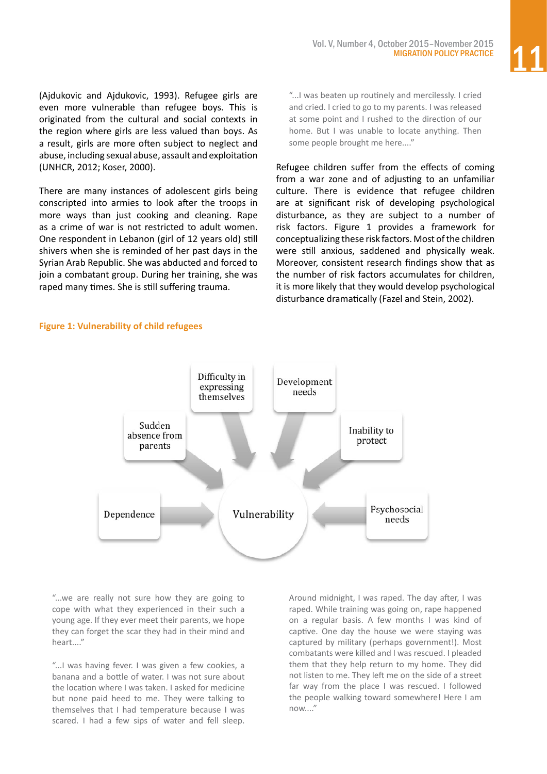(Ajdukovic and Ajdukovic, 1993). Refugee girls are even more vulnerable than refugee boys. This is originated from the cultural and social contexts in the region where girls are less valued than boys. As a result, girls are more often subject to neglect and abuse, including sexual abuse, assault and exploitation (UNHCR, 2012; Koser, 2000).

There are many instances of adolescent girls being conscripted into armies to look after the troops in more ways than just cooking and cleaning. Rape as a crime of war is not restricted to adult women. One respondent in Lebanon (girl of 12 years old) still shivers when she is reminded of her past days in the Syrian Arab Republic. She was abducted and forced to join a combatant group. During her training, she was raped many times. She is still suffering trauma.

"...I was beaten up routinely and mercilessly. I cried and cried. I cried to go to my parents. I was released at some point and I rushed to the direction of our home. But I was unable to locate anything. Then some people brought me here...."

Refugee children suffer from the effects of coming from a war zone and of adjusting to an unfamiliar culture. There is evidence that refugee children are at significant risk of developing psychological disturbance, as they are subject to a number of risk factors. Figure 1 provides a framework for conceptualizing these risk factors. Most of the children were still anxious, saddened and physically weak. Moreover, consistent research findings show that as the number of risk factors accumulates for children, it is more likely that they would develop psychological disturbance dramatically (Fazel and Stein, 2002).

#### **Figure 1: Vulnerability of child refugees**



"...we are really not sure how they are going to cope with what they experienced in their such a young age. If they ever meet their parents, we hope they can forget the scar they had in their mind and heart...."

"...I was having fever. I was given a few cookies, a banana and a bottle of water. I was not sure about the location where I was taken. I asked for medicine but none paid heed to me. They were talking to themselves that I had temperature because I was scared. I had a few sips of water and fell sleep.

Around midnight, I was raped. The day after, I was raped. While training was going on, rape happened on a regular basis. A few months I was kind of captive. One day the house we were staying was captured by military (perhaps government!). Most combatants were killed and I was rescued. I pleaded them that they help return to my home. They did not listen to me. They left me on the side of a street far way from the place I was rescued. I followed the people walking toward somewhere! Here I am now...."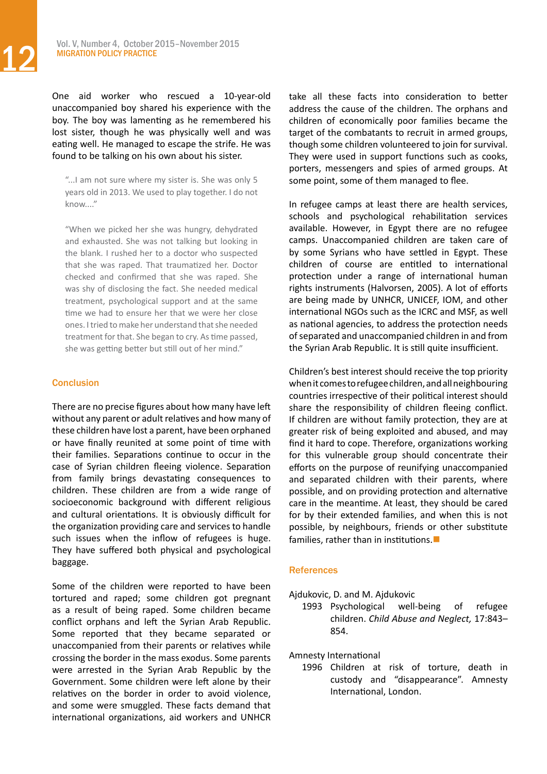One aid worker who rescued a 10-year-old unaccompanied boy shared his experience with the boy. The boy was lamenting as he remembered his lost sister, though he was physically well and was eating well. He managed to escape the strife. He was found to be talking on his own about his sister.

"...I am not sure where my sister is. She was only 5 years old in 2013. We used to play together. I do not know...."

"When we picked her she was hungry, dehydrated and exhausted. She was not talking but looking in the blank. I rushed her to a doctor who suspected that she was raped. That traumatized her. Doctor checked and confirmed that she was raped. She was shy of disclosing the fact. She needed medical treatment, psychological support and at the same time we had to ensure her that we were her close ones. I tried to make her understand that she needed treatment for that. She began to cry. As time passed, she was getting better but still out of her mind."

#### **Conclusion**

There are no precise figures about how many have left without any parent or adult relatives and how many of these children have lost a parent, have been orphaned or have finally reunited at some point of time with their families. Separations continue to occur in the case of Syrian children fleeing violence. Separation from family brings devastating consequences to children. These children are from a wide range of socioeconomic background with different religious and cultural orientations. It is obviously difficult for the organization providing care and services to handle such issues when the inflow of refugees is huge. They have suffered both physical and psychological baggage.

Some of the children were reported to have been tortured and raped; some children got pregnant as a result of being raped. Some children became conflict orphans and left the Syrian Arab Republic. Some reported that they became separated or unaccompanied from their parents or relatives while crossing the border in the mass exodus. Some parents were arrested in the Syrian Arab Republic by the Government. Some children were left alone by their relatives on the border in order to avoid violence, and some were smuggled. These facts demand that international organizations, aid workers and UNHCR

take all these facts into consideration to better address the cause of the children. The orphans and children of economically poor families became the target of the combatants to recruit in armed groups, though some children volunteered to join for survival. They were used in support functions such as cooks, porters, messengers and spies of armed groups. At some point, some of them managed to flee.

In refugee camps at least there are health services, schools and psychological rehabilitation services available. However, in Egypt there are no refugee camps. Unaccompanied children are taken care of by some Syrians who have settled in Egypt. These children of course are entitled to international protection under a range of international human rights instruments (Halvorsen, 2005). A lot of efforts are being made by UNHCR, UNICEF, IOM, and other international NGOs such as the ICRC and MSF, as well as national agencies, to address the protection needs of separated and unaccompanied children in and from the Syrian Arab Republic. It is still quite insufficient.

Children's best interest should receive the top priority whenitcomestorefugeechildren,andallneighbouring countries irrespective of their political interest should share the responsibility of children fleeing conflict. If children are without family protection, they are at greater risk of being exploited and abused, and may find it hard to cope. Therefore, organizations working for this vulnerable group should concentrate their efforts on the purpose of reunifying unaccompanied and separated children with their parents, where possible, and on providing protection and alternative care in the meantime. At least, they should be cared for by their extended families, and when this is not possible, by neighbours, friends or other substitute families, rather than in institutions. $\blacksquare$ 

#### **References**

Ajdukovic, D. and M. Ajdukovic

1993 Psychological well-being of refugee children. *Child Abuse and Neglect,* 17:843– 854.

Amnesty International

1996 Children at risk of torture, death in custody and "disappearance". Amnesty International, London.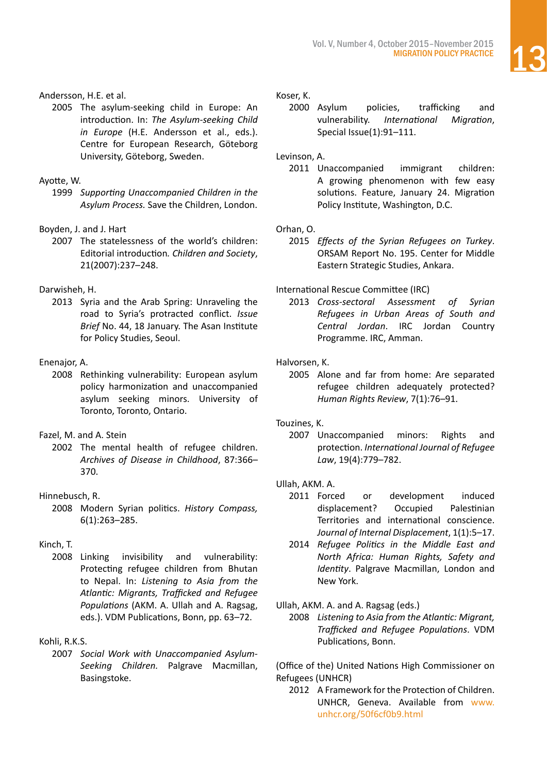#### Andersson, H.E. et al.

2005 The asylum-seeking child in Europe: An introduction. In: *The Asylum-seeking Child in Europe* (H.E. Andersson et al., eds.). Centre for European Research, Göteborg University, Göteborg, Sweden.

#### Ayotte, W.

1999 *Supporting Unaccompanied Children in the Asylum Process.* Save the Children, London.

#### Boyden, J. and J. Hart

2007 The statelessness of the world's children: Editorial introduction*. Children and Society*, 21(2007):237–248.

#### Darwisheh, H.

2013 Syria and the Arab Spring: Unraveling the road to Syria's protracted conflict. *Issue Brief* No. 44, 18 January. The Asan Institute for Policy Studies, Seoul.

#### Enenajor, A.

2008 Rethinking vulnerability: European asylum policy harmonization and unaccompanied asylum seeking minors. University of Toronto, Toronto, Ontario.

#### Fazel, M. and A. Stein

2002 The mental health of refugee children. *Archives of Disease in Childhood*, 87:366– 370.

#### Hinnebusch, R.

2008 Modern Syrian politics. *History Compass,*  6(1):263–285.

#### Kinch, T.

2008 Linking invisibility and vulnerability: Protecting refugee children from Bhutan to Nepal. In: *Listening to Asia from the Atlantic: Migrants, Trafficked and Refugee Populations* (AKM. A. Ullah and A. Ragsag, eds.). VDM Publications, Bonn, pp. 63–72.

#### Kohli, R.K.S.

2007 *Social Work with Unaccompanied Asylum-Seeking Children.* Palgrave Macmillan, Basingstoke.

#### Koser, K.

2000 Asylum policies, trafficking and vulnerability. *International Migration*, Special Issue(1):91–111.

#### Levinson, A.

2011 Unaccompanied immigrant children: A growing phenomenon with few easy solutions. Feature, January 24. Migration Policy Institute, Washington, D.C.

#### Orhan, O.

2015 *Effects of the Syrian Refugees on Turkey*. ORSAM Report No. 195. Center for Middle Eastern Strategic Studies, Ankara.

#### International Rescue Committee (IRC)

2013 *Cross-sectoral Assessment of Syrian Refugees in Urban Areas of South and Central Jordan*. IRC Jordan Country Programme. IRC, Amman.

#### Halvorsen, K.

2005 Alone and far from home: Are separated refugee children adequately protected? *Human Rights Review*, 7(1):76–91.

#### Touzines, [K](http://ijrl.oxfordjournals.org/search?author1=Kristina+Touzines&sortspec=date&submit=Submit).

2007 Unaccompanied minors: Rights and protection. *International Journal of Refugee Law*, 19(4):779–782.

#### Ullah, AKM. A.

- 2011 Forced or development induced displacement? Occupied Palestinian Territories and international conscience. *Journal of Internal Displacement*, 1(1):5–17.
- 2014 *Refugee Politics in the Middle East and North Africa: Human Rights, Safety and Identity*. Palgrave Macmillan, London and New York.

#### Ullah, AKM. A. and A. Ragsag (eds.)

2008 *Listening to Asia from the Atlantic: Migrant, Trafficked and Refugee Populations*. VDM Publications, Bonn.

(Office of the) United Nations High Commissioner on Refugees (UNHCR)

2012 A Framework for the Protection of Children. UNHCR, Geneva. Available from [www.](http://www.unhcr.org/50f6cf0b9.html) [unhcr.org/50f6cf0b9.html](http://www.unhcr.org/50f6cf0b9.html)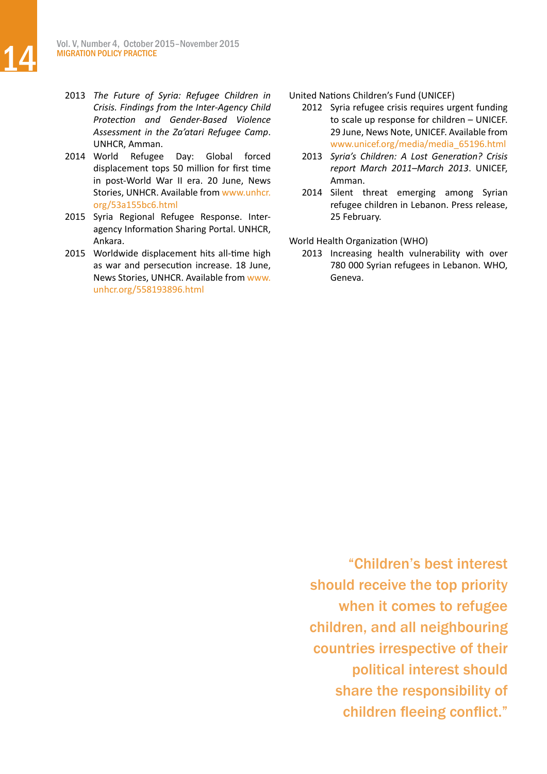2014 World Refugee Day: Global forced displacement tops 50 million for first time in post-World War II era. 20 June, News Stories, UNHCR. Available from [www.unhcr.](http://www.unhcr.org/53a155bc6.html) [org/53a155bc6.html](http://www.unhcr.org/53a155bc6.html)

2015 Syria Regional Refugee Response. Interagency Information Sharing Portal. UNHCR, Ankara.

2015 Worldwide displacement hits all-time high as war and persecution increase. 18 June, News Stories, UNHCR. Available from [www.](http://www.unhcr.org/558193896.html) [unhcr.org/558193896.html](http://www.unhcr.org/558193896.html)

United Nations Children's Fund (UNICEF)

2012 Syria refugee crisis requires urgent funding to scale up response for children – UNICEF. 29 June, News Note, UNICEF. Available from [www.unicef.org/media/media\\_65196.html](http://www.unicef.org/media/media_65196.html)

- 2013 *Syria's Children: A Lost Generation? Crisis report March 2011–March 2013*. UNICEF, Amman.
- 2014 Silent threat emerging among Syrian refugee children in Lebanon. Press release, 25 February.

World Health Organization (WHO)

2013 Increasing health vulnerability with over 780 000 Syrian refugees in Lebanon. WHO, Geneva.

"Children's best interest should receive the top priority when it comes to refugee children, and all neighbouring countries irrespective of their political interest should share the responsibility of children fleeing conflict."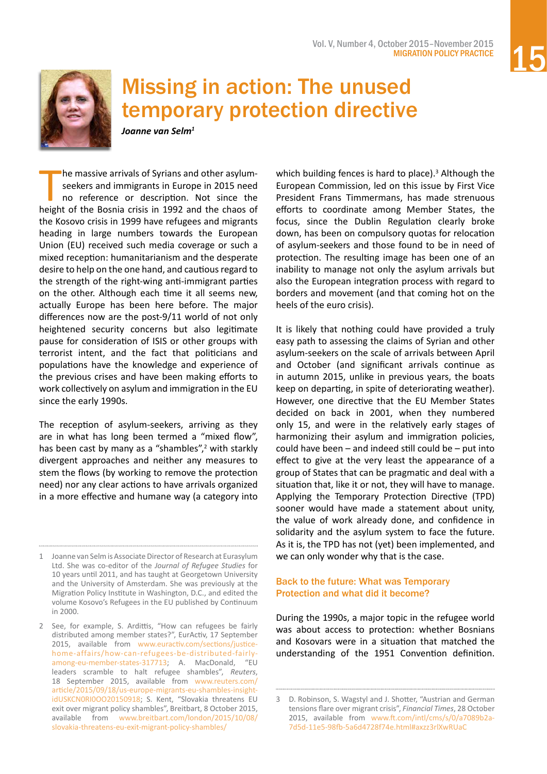

<span id="page-14-0"></span>

### Missing in action: The unused temporary protection directive

*Joanne van Selm<sup>1</sup>*

The massive arrivals of Syrians and other asylum-<br>seekers and immigrants in Europe in 2015 need<br>no reference or description. Not since the<br>height of the Bosnia crisis in 1992 and the chaos of he massive arrivals of Syrians and other asylumseekers and immigrants in Europe in 2015 need no reference or description. Not since the the Kosovo crisis in 1999 have refugees and migrants heading in large numbers towards the European Union (EU) received such media coverage or such a mixed reception: humanitarianism and the desperate desire to help on the one hand, and cautious regard to the strength of the right-wing anti-immigrant parties on the other. Although each time it all seems new, actually Europe has been here before. The major differences now are the post-9/11 world of not only heightened security concerns but also legitimate pause for consideration of ISIS or other groups with terrorist intent, and the fact that politicians and populations have the knowledge and experience of the previous crises and have been making efforts to work collectively on asylum and immigration in the EU since the early 1990s.

The reception of asylum-seekers, arriving as they are in what has long been termed a "mixed flow", has been cast by many as a "shambles",<sup>2</sup> with starkly divergent approaches and neither any measures to stem the flows (by working to remove the protection need) nor any clear actions to have arrivals organized in a more effective and humane way (a category into

1 Joanne van Selm is Associate Director of Research at Eurasylum Ltd. She was co-editor of the *Journal of Refugee Studies* for 10 years until 2011, and has taught at Georgetown University and the University of Amsterdam. She was previously at the Migration Policy Institute in Washington, D.C., and edited the volume Kosovo's Refugees in the EU published by Continuum in 2000.

2 See, for example, S. Ardittis, "How can refugees be fairly distributed among member states?", EurActiv, 17 September 2015, available from [www.euractiv.com/sections/justice](http://www.euractiv.com/sections/justice-home-affairs/how-can-refugees-be-distributed-fairly-among-eu-member-states-317713)[home-affairs/how-can-refugees-be-distributed-fairly](http://www.euractiv.com/sections/justice-home-affairs/how-can-refugees-be-distributed-fairly-among-eu-member-states-317713)[among-eu-member-states-317713;](http://www.euractiv.com/sections/justice-home-affairs/how-can-refugees-be-distributed-fairly-among-eu-member-states-317713) A. MacDonald, "EU leaders scramble to halt refugee shambles", *Reuters*, 18 September 2015, available from [www.reuters.com/](http://www.reuters.com/article/2015/09/18/us-europe-migrants-eu-shambles-insight-idUSKCN0RI0OO20150918) [article/2015/09/18/us-europe-migrants-eu-shambles-insight](http://www.reuters.com/article/2015/09/18/us-europe-migrants-eu-shambles-insight-idUSKCN0RI0OO20150918)[idUSKCN0RI0OO20150918;](http://www.reuters.com/article/2015/09/18/us-europe-migrants-eu-shambles-insight-idUSKCN0RI0OO20150918) S. Kent, "Slovakia threatens EU exit over migrant policy shambles", Breitbart, 8 October 2015, available from [www.breitbart.com/london/2015/10/08/](http://www.breitbart.com/london/2015/10/08/slovakia-threatens-eu-exit-migrant-policy-shambles/) [slovakia-threatens-eu-exit-migrant-policy-shambles/](http://www.breitbart.com/london/2015/10/08/slovakia-threatens-eu-exit-migrant-policy-shambles/)

which building fences is hard to place).<sup>3</sup> Although the European Commission, led on this issue by First Vice President Frans Timmermans, has made strenuous efforts to coordinate among Member States, the focus, since the Dublin Regulation clearly broke down, has been on compulsory quotas for relocation of asylum-seekers and those found to be in need of protection. The resulting image has been one of an inability to manage not only the asylum arrivals but also the European integration process with regard to borders and movement (and that coming hot on the heels of the euro crisis).

It is likely that nothing could have provided a truly easy path to assessing the claims of Syrian and other asylum-seekers on the scale of arrivals between April and October (and significant arrivals continue as in autumn 2015, unlike in previous years, the boats keep on departing, in spite of deteriorating weather). However, one directive that the EU Member States decided on back in 2001, when they numbered only 15, and were in the relatively early stages of harmonizing their asylum and immigration policies, could have been – and indeed still could be – put into effect to give at the very least the appearance of a group of States that can be pragmatic and deal with a situation that, like it or not, they will have to manage. Applying the Temporary Protection Directive (TPD) sooner would have made a statement about unity, the value of work already done, and confidence in solidarity and the asylum system to face the future. As it is, the TPD has not (yet) been implemented, and we can only wonder why that is the case.

#### Back to the future: What was Temporary Protection and what did it become?

During the 1990s, a major topic in the refugee world was about access to protection: whether Bosnians and Kosovars were in a situation that matched the understanding of the 1951 Convention definition.

<sup>3</sup> D. Robinson, S. Wagstyl and J. Shotter, "Austrian and German tensions flare over migrant crisis", *Financial Times*, 28 October 2015, available from [www.ft.com/intl/cms/s/0/a7089b2a-](http://www.ft.com/intl/cms/s/0/a7089b2a-7d5d-11e5-98fb-5a6d4728f74e.html#axzz3rlXwRUaC)[7d5d-11e5-98fb-5a6d4728f74e.html#axzz3rlXwRUaC](http://www.ft.com/intl/cms/s/0/a7089b2a-7d5d-11e5-98fb-5a6d4728f74e.html#axzz3rlXwRUaC)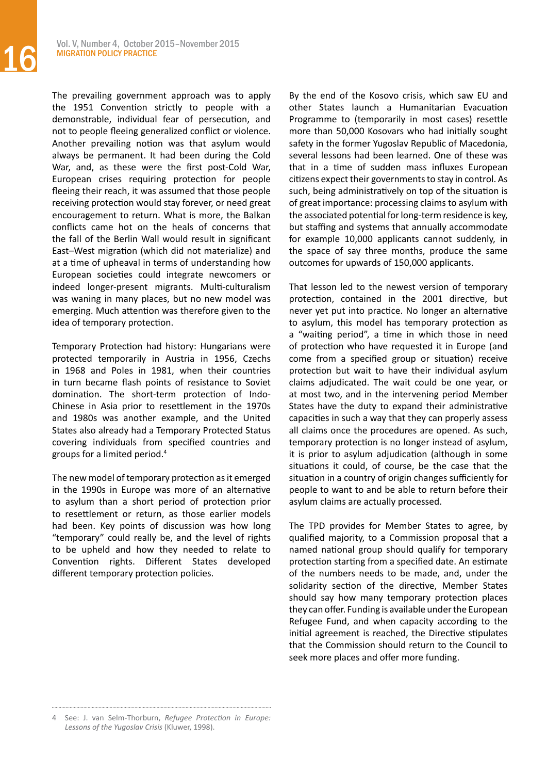The prevailing government approach was to apply the 1951 Convention strictly to people with a demonstrable, individual fear of persecution, and not to people fleeing generalized conflict or violence. Another prevailing notion was that asylum would always be permanent. It had been during the Cold War, and, as these were the first post-Cold War, European crises requiring protection for people fleeing their reach, it was assumed that those people receiving protection would stay forever, or need great encouragement to return. What is more, the Balkan conflicts came hot on the heals of concerns that the fall of the Berlin Wall would result in significant East–West migration (which did not materialize) and at a time of upheaval in terms of understanding how European societies could integrate newcomers or indeed longer-present migrants. Multi-culturalism was waning in many places, but no new model was emerging. Much attention was therefore given to the idea of temporary protection.

Temporary Protection had history: Hungarians were protected temporarily in Austria in 1956, Czechs in 1968 and Poles in 1981, when their countries in turn became flash points of resistance to Soviet domination. The short-term protection of Indo-Chinese in Asia prior to resettlement in the 1970s and 1980s was another example, and the United States also already had a Temporary Protected Status covering individuals from specified countries and groups for a limited period.4

The new model of temporary protection as it emerged in the 1990s in Europe was more of an alternative to asylum than a short period of protection prior to resettlement or return, as those earlier models had been. Key points of discussion was how long "temporary" could really be, and the level of rights to be upheld and how they needed to relate to Convention rights. Different States developed different temporary protection policies.

By the end of the Kosovo crisis, which saw EU and other States launch a Humanitarian Evacuation Programme to (temporarily in most cases) resettle more than 50,000 Kosovars who had initially sought safety in the former Yugoslav Republic of Macedonia, several lessons had been learned. One of these was that in a time of sudden mass influxes European citizens expect their governments to stay in control. As such, being administratively on top of the situation is of great importance: processing claims to asylum with the associated potential for long-term residence is key, but staffing and systems that annually accommodate for example 10,000 applicants cannot suddenly, in the space of say three months, produce the same outcomes for upwards of 150,000 applicants.

That lesson led to the newest version of temporary protection, contained in the 2001 directive, but never yet put into practice. No longer an alternative to asylum, this model has temporary protection as a "waiting period", a time in which those in need of protection who have requested it in Europe (and come from a specified group or situation) receive protection but wait to have their individual asylum claims adjudicated. The wait could be one year, or at most two, and in the intervening period Member States have the duty to expand their administrative capacities in such a way that they can properly assess all claims once the procedures are opened. As such, temporary protection is no longer instead of asylum, it is prior to asylum adjudication (although in some situations it could, of course, be the case that the situation in a country of origin changes sufficiently for people to want to and be able to return before their asylum claims are actually processed.

The TPD provides for Member States to agree, by qualified majority, to a Commission proposal that a named national group should qualify for temporary protection starting from a specified date. An estimate of the numbers needs to be made, and, under the solidarity section of the directive, Member States should say how many temporary protection places they can offer. Funding is available under the European Refugee Fund, and when capacity according to the initial agreement is reached, the Directive stipulates that the Commission should return to the Council to seek more places and offer more funding.

<sup>4</sup> See: J. van Selm-Thorburn, *Refugee Protection in Europe: Lessons of the Yugoslav Crisis* (Kluwer, 1998).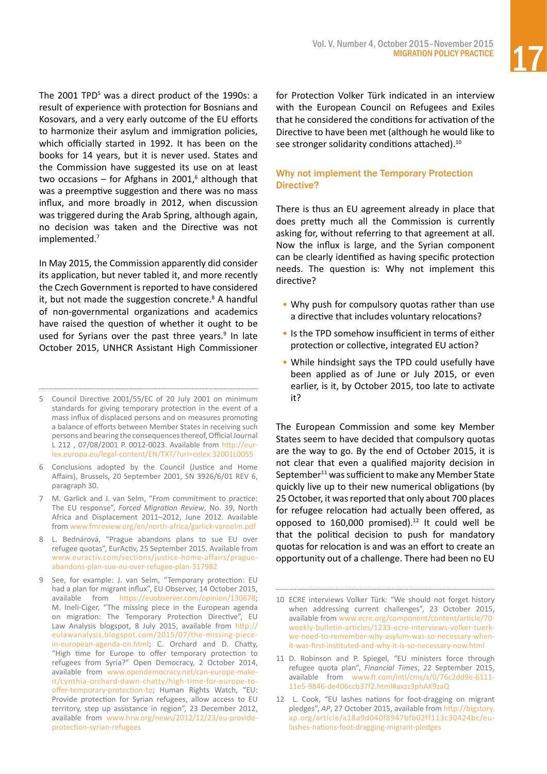The 2001 TPD<sup>5</sup> was a direct product of the 1990s: a result of experience with protection for Bosnians and Kosovars, and a very early outcome of the EU efforts to harmonize their asylum and immigration policies, which officially started in 1992. It has been on the books for 14 years, but it is never used. States and the Commission have suggested its use on at least two occasions – for Afghans in 2001, $6$  although that was a preemptive suggestion and there was no mass influx, and more broadly in 2012, when discussion was triggered during the Arab Spring, although again, no decision was taken and the Directive was not implemented.7

In May 2015, the Commission apparently did consider its application, but never tabled it, and more recently the Czech Government is reported to have considered it, but not made the suggestion concrete. $8$  A handful of non-governmental organizations and academics have raised the question of whether it ought to be used for Syrians over the past three years.<sup>9</sup> In late October 2015, UNHCR Assistant High Commissioner

- 7 M. Garlick and J. van Selm, "From commitment to practice: The EU response", *Forced Migration Review*, No. 39, North Africa and Displacement 2011–2012, June 2012. Available from [www.fmreview.org/en/north-africa/garlick-vanselm.pdf](http://www.fmreview.org/en/north-africa/garlick-vanselm.pdf)
- 8 L. Bednárová, "Prague abandons plans to sue EU over refugee quotas", EurActiv, 25 September 2015. Available from [www.euractiv.com/sections/justice-home-affairs/prague](http://www.euractiv.com/sections/justice-home-affairs/prague-abandons-plan-sue-eu-over-refugee-plan-317982)[abandons-plan-sue-eu-over-refugee-plan-317982](http://www.euractiv.com/sections/justice-home-affairs/prague-abandons-plan-sue-eu-over-refugee-plan-317982)
- 9 See, for example: J. van Selm, "Temporary protection: EU had a plan for migrant influx", EU Observer, 14 October 2015, available from <https://euobserver.com/opinion/130678>; M. Ineli-Ciger, "The missing piece in the European agenda on migration: The Temporary Protection Directive", EU Law Analysis blogspot, 8 July 2015, available from [http://](http://eulawanalysis.blogspot.com/2015/07/the-missing-piece-in-european-agenda-on.html) [eulawanalysis.blogspot.com/2015/07/the-missing-piece](http://eulawanalysis.blogspot.com/2015/07/the-missing-piece-in-european-agenda-on.html)[in-european-agenda-on.html](http://eulawanalysis.blogspot.com/2015/07/the-missing-piece-in-european-agenda-on.html); C. Orchard and D. Chatty, "High time for Europe to offer temporary protection to refugees from Syria?" Open Democracy, 2 October 2014, available from [www.opendemocracy.net/can-europe-make](https://www.opendemocracy.net/can-europe-make-it/cynthia-orchard-dawn-chatty/high-time-for-europe-to-offer-temporary-protection-to)[it/cynthia-orchard-dawn-chatty/high-time-for-europe-to](https://www.opendemocracy.net/can-europe-make-it/cynthia-orchard-dawn-chatty/high-time-for-europe-to-offer-temporary-protection-to)[offer-temporary-protection-to](https://www.opendemocracy.net/can-europe-make-it/cynthia-orchard-dawn-chatty/high-time-for-europe-to-offer-temporary-protection-to); Human Rights Watch, "EU: Provide protection for Syrian refugees, allow access to EU territory, step up assistance in region", 23 December 2012, available from [www.hrw.org/news/2012/12/23/eu-provide](https://www.hrw.org/news/2012/12/23/eu-provide-protection-syrian-refugees)[protection-syrian-refugees](https://www.hrw.org/news/2012/12/23/eu-provide-protection-syrian-refugees)

for Protection Volker Türk indicated in an interview with the European Council on Refugees and Exiles that he considered the conditions for activation of the Directive to have been met (although he would like to see stronger solidarity conditions attached).<sup>10</sup>

#### Why not implement the Temporary Protection Directive?

There is thus an EU agreement already in place that does pretty much all the Commission is currently asking for, without referring to that agreement at all. Now the influx is large, and the Syrian component can be clearly identified as having specific protection needs. The question is: Why not implement this directive?

- Why push for compulsory quotas rather than use a directive that includes voluntary relocations?
- Is the TPD somehow insufficient in terms of either protection or collective, integrated EU action?
- While hindsight says the TPD could usefully have been applied as of June or July 2015, or even earlier, is it, by October 2015, too late to activate it?

The European Commission and some key Member States seem to have decided that compulsory quotas are the way to go. By the end of October 2015, it is not clear that even a qualified majority decision in September<sup>11</sup> was sufficient to make any Member State quickly live up to their new numerical obligations (by 25 October, it was reported that only about 700 places for refugee relocation had actually been offered, as opposed to  $160,000$  promised).<sup>12</sup> It could well be that the political decision to push for mandatory quotas for relocation is and was an effort to create an opportunity out of a challenge. There had been no EU

<sup>5</sup> Council Directive 2001/55/EC of 20 July 2001 on minimum standards for giving temporary protection in the event of a mass influx of displaced persons and on measures promoting a balance of efforts between Member States in receiving such persons and bearing the consequencesthereof,OfficialJournal L 212 , 07/08/2001 P. 0012-0023. Available from [http://eur](http://eur-lex.europa.eu/legal-content/EN/TXT/?uri=celex:32001L0055)[lex.europa.eu/legal-content/EN/TXT/?uri=celex:32001L0055](http://eur-lex.europa.eu/legal-content/EN/TXT/?uri=celex:32001L0055)

<sup>6</sup> Conclusions adopted by the Council (Justice and Home Affairs), Brussels, 20 September 2001, SN 3926/6/01 REV 6, paragraph 30.

<sup>10</sup> ECRE interviews Volker Türk: "We should not forget history when addressing current challenges", 23 October 2015, available from [www.ecre.org/component/content/article/70](http://www.ecre.org/component/content/article/70-weekly-bulletin-articles/1233-ecre-interviews-volker-tuerk-we-need-to-remember-why-asylum-was-so-necessary-when-it-was-first-instituted-and-why-it-is-so-necessary-now.html) [weekly-bulletin-articles/1233-ecre-interviews-volker-tuerk](http://www.ecre.org/component/content/article/70-weekly-bulletin-articles/1233-ecre-interviews-volker-tuerk-we-need-to-remember-why-asylum-was-so-necessary-when-it-was-first-instituted-and-why-it-is-so-necessary-now.html)[we-need-to-remember-why-asylum-was-so-necessary-when](http://www.ecre.org/component/content/article/70-weekly-bulletin-articles/1233-ecre-interviews-volker-tuerk-we-need-to-remember-why-asylum-was-so-necessary-when-it-was-first-instituted-and-why-it-is-so-necessary-now.html)[it-was-first-instituted-and-why-it-is-so-necessary-now.html](http://www.ecre.org/component/content/article/70-weekly-bulletin-articles/1233-ecre-interviews-volker-tuerk-we-need-to-remember-why-asylum-was-so-necessary-when-it-was-first-instituted-and-why-it-is-so-necessary-now.html)

<sup>11</sup> D. Robinson and P. Spiegel, "EU ministers force through refugee quota plan", *Financial Times*, 22 September 2015, available from [www.ft.com/intl/cms/s/0/76c2dd9e-6111-](http://www.ft.com/intl/cms/s/0/76c2dd9e-6111-11e5-9846-de406ccb37f2.html#axzz3phAK9zaQ) [11e5-9846-de406ccb37f2.html#axzz3phAK9zaQ](http://www.ft.com/intl/cms/s/0/76c2dd9e-6111-11e5-9846-de406ccb37f2.html#axzz3phAK9zaQ)

<sup>12</sup> L. Cook, "EU lashes nations for foot-dragging on migrant pledges", *AP*, 27 October 2015, available from [http://bigstory.](http://bigstory.ap.org/article/a18a9d040f8947bfb02ff113c30424bc/eu-lashes-nations-foot-dragging-migrant-pledges) [ap.org/article/a18a9d040f8947bfb02ff113c30424bc/eu](http://bigstory.ap.org/article/a18a9d040f8947bfb02ff113c30424bc/eu-lashes-nations-foot-dragging-migrant-pledges)[lashes-nations-foot-dragging-migrant-pledges](http://bigstory.ap.org/article/a18a9d040f8947bfb02ff113c30424bc/eu-lashes-nations-foot-dragging-migrant-pledges)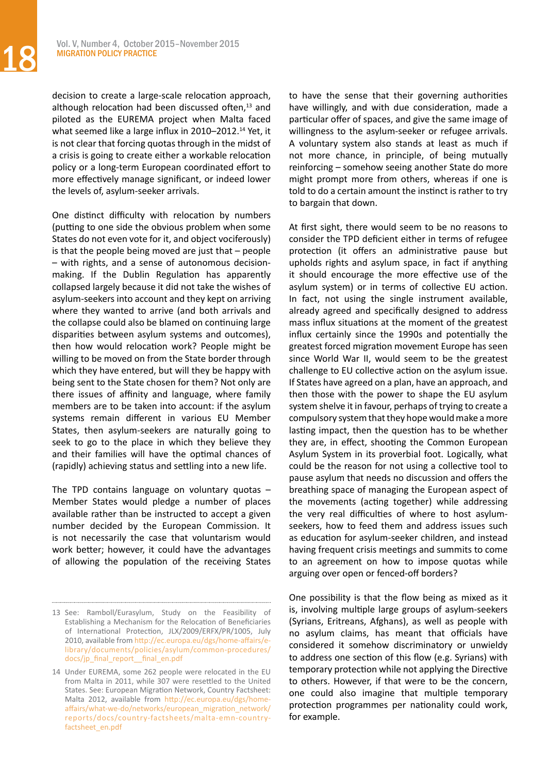decision to create a large-scale relocation approach, although relocation had been discussed often,<sup>13</sup> and piloted as the EUREMA project when Malta faced what seemed like a large influx in 2010–2012.<sup>14</sup> Yet, it is not clear that forcing quotas through in the midst of a crisis is going to create either a workable relocation policy or a long-term European coordinated effort to more effectively manage significant, or indeed lower the levels of, asylum-seeker arrivals.

One distinct difficulty with relocation by numbers (putting to one side the obvious problem when some States do not even vote for it, and object vociferously) is that the people being moved are just that – people – with rights, and a sense of autonomous decisionmaking. If the Dublin Regulation has apparently collapsed largely because it did not take the wishes of asylum-seekers into account and they kept on arriving where they wanted to arrive (and both arrivals and the collapse could also be blamed on continuing large disparities between asylum systems and outcomes), then how would relocation work? People might be willing to be moved on from the State border through which they have entered, but will they be happy with being sent to the State chosen for them? Not only are there issues of affinity and language, where family members are to be taken into account: if the asylum systems remain different in various EU Member States, then asylum-seekers are naturally going to seek to go to the place in which they believe they and their families will have the optimal chances of (rapidly) achieving status and settling into a new life.

The TPD contains language on voluntary quotas – Member States would pledge a number of places available rather than be instructed to accept a given number decided by the European Commission. It is not necessarily the case that voluntarism would work better; however, it could have the advantages of allowing the population of the receiving States to have the sense that their governing authorities have willingly, and with due consideration, made a particular offer of spaces, and give the same image of willingness to the asylum-seeker or refugee arrivals. A voluntary system also stands at least as much if not more chance, in principle, of being mutually reinforcing – somehow seeing another State do more might prompt more from others, whereas if one is told to do a certain amount the instinct is rather to try to bargain that down.

At first sight, there would seem to be no reasons to consider the TPD deficient either in terms of refugee protection (it offers an administrative pause but upholds rights and asylum space, in fact if anything it should encourage the more effective use of the asylum system) or in terms of collective EU action. In fact, not using the single instrument available, already agreed and specifically designed to address mass influx situations at the moment of the greatest influx certainly since the 1990s and potentially the greatest forced migration movement Europe has seen since World War II, would seem to be the greatest challenge to EU collective action on the asylum issue. If States have agreed on a plan, have an approach, and then those with the power to shape the EU asylum system shelve it in favour, perhaps of trying to create a compulsory system that they hope would make a more lasting impact, then the question has to be whether they are, in effect, shooting the Common European Asylum System in its proverbial foot. Logically, what could be the reason for not using a collective tool to pause asylum that needs no discussion and offers the breathing space of managing the European aspect of the movements (acting together) while addressing the very real difficulties of where to host asylumseekers, how to feed them and address issues such as education for asylum-seeker children, and instead having frequent crisis meetings and summits to come to an agreement on how to impose quotas while arguing over open or fenced-off borders?

One possibility is that the flow being as mixed as it is, involving multiple large groups of asylum-seekers (Syrians, Eritreans, Afghans), as well as people with no asylum claims, has meant that officials have considered it somehow discriminatory or unwieldy to address one section of this flow (e.g. Syrians) with temporary protection while not applying the Directive to others. However, if that were to be the concern, one could also imagine that multiple temporary protection programmes per nationality could work, for example.

<sup>13</sup> See: Ramboll/Eurasylum, Study on the Feasibility of Establishing a Mechanism for the Relocation of Beneficiaries of International Protection, JLX/2009/ERFX/PR/1005, July 2010, available from [http://ec.europa.eu/dgs/home-affairs/e](http://ec.europa.eu/dgs/home-affairs/e-library/documents/policies/asylum/common-procedures/docs/jp_final_report__final_en.pdf)[library/documents/policies/asylum/common-procedures/](http://ec.europa.eu/dgs/home-affairs/e-library/documents/policies/asylum/common-procedures/docs/jp_final_report__final_en.pdf) [docs/jp\\_final\\_report\\_\\_final\\_en.pdf](http://ec.europa.eu/dgs/home-affairs/e-library/documents/policies/asylum/common-procedures/docs/jp_final_report__final_en.pdf)

<sup>14</sup> Under EUREMA, some 262 people were relocated in the EU from Malta in 2011, while 307 were resettled to the United States. See: European Migration Network, Country Factsheet: Malta 2012, available from [http://ec.europa.eu/dgs/home](http://ec.europa.eu/dgs/home-affairs/what-we-do/networks/european_migration_network/reports/docs/country-factsheets/malta-emn-country-factsheet_en.pdf)[affairs/what-we-do/networks/european\\_migration\\_network/](http://ec.europa.eu/dgs/home-affairs/what-we-do/networks/european_migration_network/reports/docs/country-factsheets/malta-emn-country-factsheet_en.pdf) [reports/docs/country-factsheets/malta-emn-country](http://ec.europa.eu/dgs/home-affairs/what-we-do/networks/european_migration_network/reports/docs/country-factsheets/malta-emn-country-factsheet_en.pdf)[factsheet\\_en.pdf](http://ec.europa.eu/dgs/home-affairs/what-we-do/networks/european_migration_network/reports/docs/country-factsheets/malta-emn-country-factsheet_en.pdf)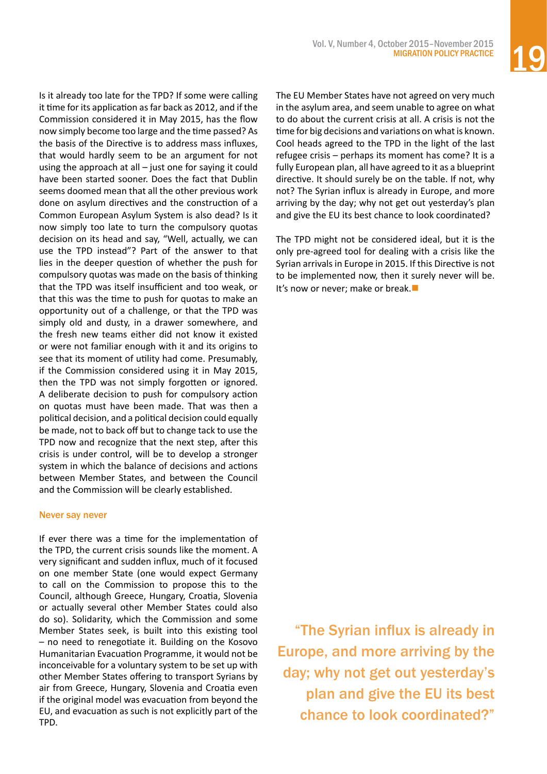Is it already too late for the TPD? If some were calling it time for its application as far back as 2012, and if the Commission considered it in May 2015, has the flow now simply become too large and the time passed? As the basis of the Directive is to address mass influxes, that would hardly seem to be an argument for not using the approach at all – just one for saying it could have been started sooner. Does the fact that Dublin seems doomed mean that all the other previous work done on asylum directives and the construction of a Common European Asylum System is also dead? Is it now simply too late to turn the compulsory quotas decision on its head and say, "Well, actually, we can use the TPD instead"? Part of the answer to that lies in the deeper question of whether the push for compulsory quotas was made on the basis of thinking that the TPD was itself insufficient and too weak, or that this was the time to push for quotas to make an opportunity out of a challenge, or that the TPD was simply old and dusty, in a drawer somewhere, and the fresh new teams either did not know it existed or were not familiar enough with it and its origins to see that its moment of utility had come. Presumably, if the Commission considered using it in May 2015, then the TPD was not simply forgotten or ignored. A deliberate decision to push for compulsory action on quotas must have been made. That was then a political decision, and a political decision could equally be made, not to back off but to change tack to use the TPD now and recognize that the next step, after this crisis is under control, will be to develop a stronger system in which the balance of decisions and actions between Member States, and between the Council and the Commission will be clearly established.

#### Never say never

If ever there was a time for the implementation of the TPD, the current crisis sounds like the moment. A very significant and sudden influx, much of it focused on one member State (one would expect Germany to call on the Commission to propose this to the Council, although Greece, Hungary, Croatia, Slovenia or actually several other Member States could also do so). Solidarity, which the Commission and some Member States seek, is built into this existing tool – no need to renegotiate it. Building on the Kosovo Humanitarian Evacuation Programme, it would not be inconceivable for a voluntary system to be set up with other Member States offering to transport Syrians by air from Greece, Hungary, Slovenia and Croatia even if the original model was evacuation from beyond the EU, and evacuation as such is not explicitly part of the TPD.

The EU Member States have not agreed on very much in the asylum area, and seem unable to agree on what to do about the current crisis at all. A crisis is not the time for big decisions and variations on what is known. Cool heads agreed to the TPD in the light of the last refugee crisis – perhaps its moment has come? It is a fully European plan, all have agreed to it as a blueprint directive. It should surely be on the table. If not, why not? The Syrian influx is already in Europe, and more arriving by the day; why not get out yesterday's plan and give the EU its best chance to look coordinated?

The TPD might not be considered ideal, but it is the only pre-agreed tool for dealing with a crisis like the Syrian arrivals in Europe in 2015. If this Directive is not to be implemented now, then it surely never will be. It's now or never; make or break. $\blacksquare$ 

"The Syrian influx is already in Europe, and more arriving by the day; why not get out yesterday's plan and give the EU its best chance to look coordinated?"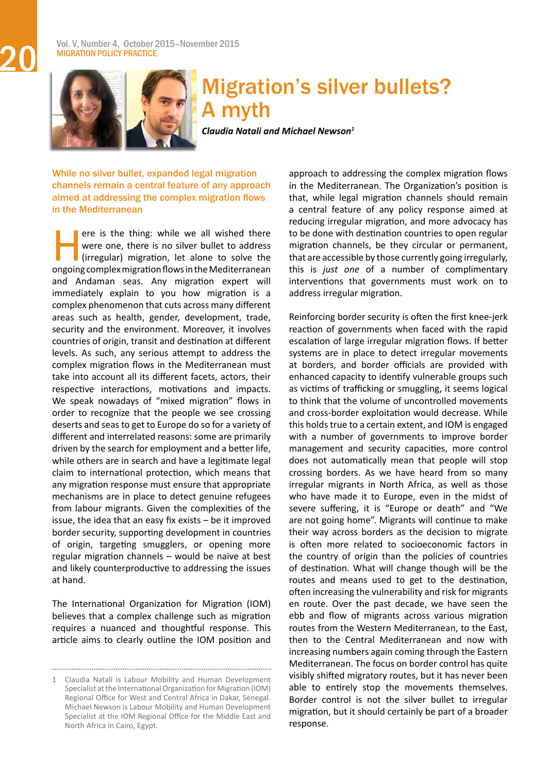#### Vol. V, Number 4, October 2015–November 2015 **MIGRATION POLICY PRACTICE**



### Migration's silver bullets? A myth

*Claudia Natali and Michael Newson<sup>1</sup>*

While no silver bullet, expanded legal migration channels remain a central feature of any approach aimed at addressing the complex migration flows in the Mediterranean

ere is the thing: while we all wished there<br>were one, there is no silver bullet to address<br>(irregular) migration, let alone to solve the<br>ongoing complex migration flows in the Mediterranean were one, there is no silver bullet to address (irregular) migration, let alone to solve the ongoing complex migration flows in the Mediterranean and Andaman seas. Any migration expert will immediately explain to you how migration is a complex phenomenon that cuts across many different areas such as health, gender, development, trade, security and the environment. Moreover, it involves countries of origin, transit and destination at different levels. As such, any serious attempt to address the complex migration flows in the Mediterranean must take into account all its different facets, actors, their respective interactions, motivations and impacts. We speak nowadays of "mixed migration" flows in order to recognize that the people we see crossing deserts and seasto get to Europe do so for a variety of different and interrelated reasons: some are primarily driven by the search for employment and a better life, while others are in search and have a legitimate legal claim to international protection, which means that any migration response must ensure that appropriate mechanisms are in place to detect genuine refugees from labour migrants. Given the complexities of the issue, the idea that an easy fix exists – be it improved border security, supporting development in countries of origin, targeting smugglers, or opening more regular migration channels – would be naïve at best and likely counterproductive to addressing the issues at hand.

The International Organization for Migration (IOM) believes that a complex challenge such as migration requires a nuanced and thoughtful response. This article aims to clearly outline the IOM position and

approach to addressing the complex migration flows in the Mediterranean. The Organization's position is that, while legal migration channels should remain a central feature of any policy response aimed at reducing irregular migration, and more advocacy has to be done with destination countries to open regular migration channels, be they circular or permanent, that are accessible by those currently going irregularly, this is *just one* of a number of complimentary interventions that governments must work on to address irregular migration.

Reinforcing border security is often the first knee-jerk reaction of governments when faced with the rapid escalation of large irregular migration flows. If better systems are in place to detect irregular movements at borders, and border officials are provided with enhanced capacity to identify vulnerable groups such as victims of trafficking or smuggling, it seems logical to think that the volume of uncontrolled movements and cross-border exploitation would decrease. While this holds true to a certain extent, and IOM is engaged with a number of governments to improve border management and security capacities, more control does not automatically mean that people will stop crossing borders. As we have heard from so many irregular migrants in North Africa, as well as those who have made it to Europe, even in the midst of severe suffering, it is "Europe or death" and "We are not going home". Migrants will continue to make their way across borders as the decision to migrate is often more related to socioeconomic factors in the country of origin than the policies of countries of destination. What will change though will be the routes and means used to get to the destination, often increasing the vulnerability and risk for migrants en route. Over the past decade, we have seen the ebb and flow of migrants across various migration routes from the Western Mediterranean, to the East, then to the Central Mediterranean and now with increasing numbers again coming through the Eastern Mediterranean. The focus on border control has quite visibly shifted migratory routes, but it has never been able to entirely stop the movements themselves. Border control is not the silver bullet to irregular migration, but it should certainly be part of a broader response.

<span id="page-19-0"></span>

<sup>1</sup> Claudia Natali is Labour Mobility and Human Development Specialist at the International Organization for Migration (IOM) Regional Office for West and Central Africa in Dakar, Senegal. Michael Newson is Labour Mobility and Human Development Specialist at the IOM Regional Office for the Middle East and North Africa in Cairo, Egypt.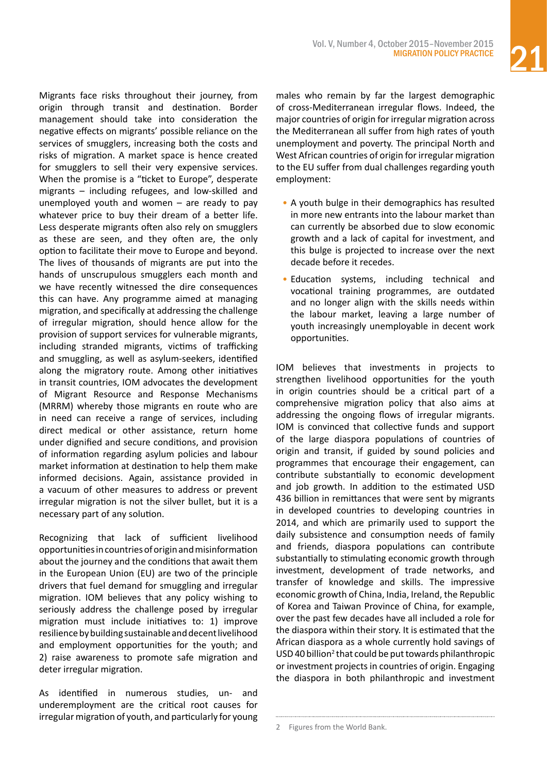Migrants face risks throughout their journey, from origin through transit and destination. Border management should take into consideration the negative effects on migrants' possible reliance on the services of smugglers, increasing both the costs and risks of migration. A market space is hence created for smugglers to sell their very expensive services. When the promise is a "ticket to Europe", desperate migrants – including refugees, and low-skilled and unemployed youth and women  $-$  are ready to pay whatever price to buy their dream of a better life. Less desperate migrants often also rely on smugglers as these are seen, and they often are, the only option to facilitate their move to Europe and beyond. The lives of thousands of migrants are put into the hands of unscrupulous smugglers each month and we have recently witnessed the dire consequences this can have. Any programme aimed at managing migration, and specifically at addressing the challenge of irregular migration, should hence allow for the provision of support services for vulnerable migrants, including stranded migrants, victims of trafficking and smuggling, as well as asylum-seekers, identified along the migratory route. Among other initiatives in transit countries, IOM advocates the development of Migrant Resource and Response Mechanisms (MRRM) whereby those migrants en route who are in need can receive a range of services, including direct medical or other assistance, return home under dignified and secure conditions, and provision of information regarding asylum policies and labour market information at destination to help them make informed decisions. Again, assistance provided in a vacuum of other measures to address or prevent irregular migration is not the silver bullet, but it is a necessary part of any solution.

Recognizing that lack of sufficient livelihood opportunitiesincountriesoforiginandmisinformation about the journey and the conditions that await them in the European Union (EU) are two of the principle drivers that fuel demand for smuggling and irregular migration. IOM believes that any policy wishing to seriously address the challenge posed by irregular migration must include initiatives to: 1) improve resilience by building sustainable and decent livelihood and employment opportunities for the youth; and 2) raise awareness to promote safe migration and deter irregular migration.

As identified in numerous studies, un- and underemployment are the critical root causes for irregular migration of youth, and particularly for young

males who remain by far the largest demographic of cross-Mediterranean irregular flows. Indeed, the major countries of origin for irregular migration across the Mediterranean all suffer from high rates of youth unemployment and poverty. The principal North and West African countries of origin for irregular migration to the EU suffer from dual challenges regarding youth employment:

- A youth bulge in their demographics has resulted in more new entrants into the labour market than can currently be absorbed due to slow economic growth and a lack of capital for investment, and this bulge is projected to increase over the next decade before it recedes.
- Education systems, including technical and vocational training programmes, are outdated and no longer align with the skills needs within the labour market, leaving a large number of youth increasingly unemployable in decent work opportunities.

IOM believes that investments in projects to strengthen livelihood opportunities for the youth in origin countries should be a critical part of a comprehensive migration policy that also aims at addressing the ongoing flows of irregular migrants. IOM is convinced that collective funds and support of the large diaspora populations of countries of origin and transit, if guided by sound policies and programmes that encourage their engagement, can contribute substantially to economic development and job growth. In addition to the estimated USD 436 billion in remittances that were sent by migrants in developed countries to developing countries in 2014, and which are primarily used to support the daily subsistence and consumption needs of family and friends, diaspora populations can contribute substantially to stimulating economic growth through investment, development of trade networks, and transfer of knowledge and skills. The impressive economic growth of China, India, Ireland, the Republic of Korea and Taiwan Province of China, for example, over the past few decades have all included a role for the diaspora within their story. It is estimated that the African diaspora as a whole currently hold savings of  $USD$ 40 billion<sup>2</sup> that could be put towards philanthropic or investment projects in countries of origin. Engaging the diaspora in both philanthropic and investment

<sup>2</sup> Figures from the World Bank.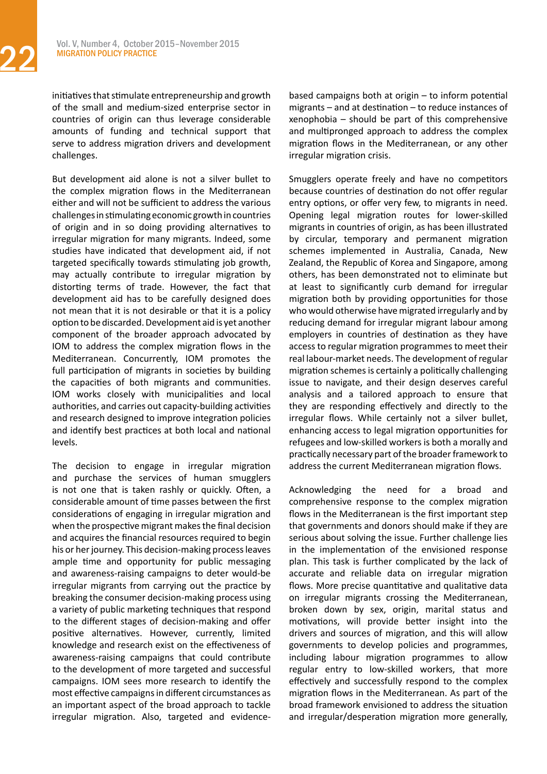initiatives that stimulate entrepreneurship and growth of the small and medium-sized enterprise sector in countries of origin can thus leverage considerable amounts of funding and technical support that serve to address migration drivers and development challenges.

But development aid alone is not a silver bullet to the complex migration flows in the Mediterranean either and will not be sufficient to address the various challengesinstimulatingeconomic growthincountries of origin and in so doing providing alternatives to irregular migration for many migrants. Indeed, some studies have indicated that development aid, if not targeted specifically towards stimulating job growth, may actually contribute to irregular migration by distorting terms of trade. However, the fact that development aid has to be carefully designed does not mean that it is not desirable or that it is a policy option to be discarded.Development aid is yet another component of the broader approach advocated by IOM to address the complex migration flows in the Mediterranean. Concurrently, IOM promotes the full participation of migrants in societies by building the capacities of both migrants and communities. IOM works closely with municipalities and local authorities, and carries out capacity-building activities and research designed to improve integration policies and identify best practices at both local and national levels.

The decision to engage in irregular migration and purchase the services of human smugglers is not one that is taken rashly or quickly. Often, a considerable amount of time passes between the first considerations of engaging in irregular migration and when the prospective migrant makes the final decision and acquires the financial resources required to begin his or her journey. This decision-making process leaves ample time and opportunity for public messaging and awareness-raising campaigns to deter would-be irregular migrants from carrying out the practice by breaking the consumer decision-making process using a variety of public marketing techniques that respond to the different stages of decision-making and offer positive alternatives. However, currently, limited knowledge and research exist on the effectiveness of awareness-raising campaigns that could contribute to the development of more targeted and successful campaigns. IOM sees more research to identify the most effective campaigns in different circumstances as an important aspect of the broad approach to tackle irregular migration. Also, targeted and evidencebased campaigns both at origin – to inform potential migrants – and at destination – to reduce instances of xenophobia – should be part of this comprehensive and multipronged approach to address the complex migration flows in the Mediterranean, or any other irregular migration crisis.

Smugglers operate freely and have no competitors because countries of destination do not offer regular entry options, or offer very few, to migrants in need. Opening legal migration routes for lower-skilled migrants in countries of origin, as has been illustrated by circular, temporary and permanent migration schemes implemented in Australia, Canada, New Zealand, the Republic of Korea and Singapore, among others, has been demonstrated not to eliminate but at least to significantly curb demand for irregular migration both by providing opportunities for those who would otherwise have migrated irregularly and by reducing demand for irregular migrant labour among employers in countries of destination as they have access to regular migration programmes to meet their real labour-market needs. The development ofregular migration schemes is certainly a politically challenging issue to navigate, and their design deserves careful analysis and a tailored approach to ensure that they are responding effectively and directly to the irregular flows. While certainly not a silver bullet, enhancing access to legal migration opportunities for refugees and low-skilled workersis both a morally and practically necessary part of the broader framework to address the current Mediterranean migration flows.

Acknowledging the need for a broad and comprehensive response to the complex migration flows in the Mediterranean is the first important step that governments and donors should make if they are serious about solving the issue. Further challenge lies in the implementation of the envisioned response plan. This task is further complicated by the lack of accurate and reliable data on irregular migration flows. More precise quantitative and qualitative data on irregular migrants crossing the Mediterranean, broken down by sex, origin, marital status and motivations, will provide better insight into the drivers and sources of migration, and this will allow governments to develop policies and programmes, including labour migration programmes to allow regular entry to low-skilled workers, that more effectively and successfully respond to the complex migration flows in the Mediterranean. As part of the broad framework envisioned to address the situation and irregular/desperation migration more generally,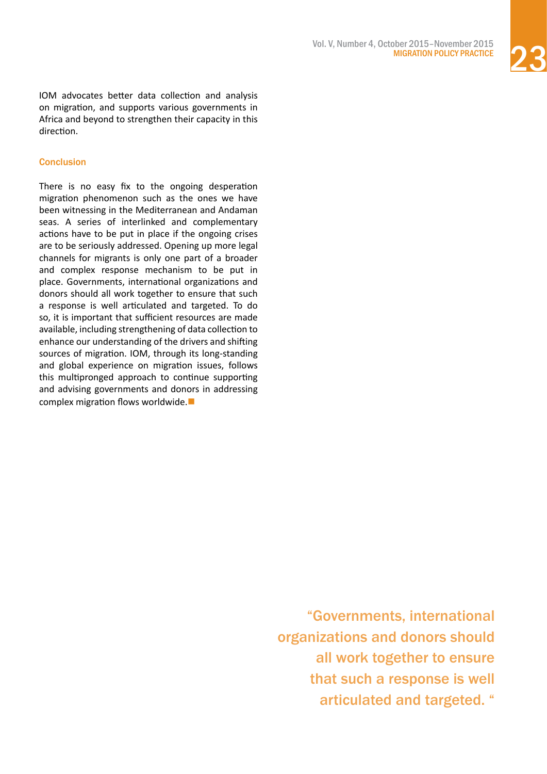

IOM advocates better data collection and analysis on migration, and supports various governments in Africa and beyond to strengthen their capacity in this direction.

#### **Conclusion**

There is no easy fix to the ongoing desperation migration phenomenon such as the ones we have been witnessing in the Mediterranean and Andaman seas. A series of interlinked and complementary actions have to be put in place if the ongoing crises are to be seriously addressed. Opening up more legal channels for migrants is only one part of a broader and complex response mechanism to be put in place. Governments, international organizations and donors should all work together to ensure that such a response is well articulated and targeted. To do so, it is important that sufficient resources are made available, including strengthening of data collection to enhance our understanding of the drivers and shifting sources of migration. IOM, through its long-standing and global experience on migration issues, follows this multipronged approach to continue supporting and advising governments and donors in addressing complex migration flows worldwide. $\blacksquare$ 

> "Governments, international organizations and donors should all work together to ensure that such a response is well articulated and targeted. "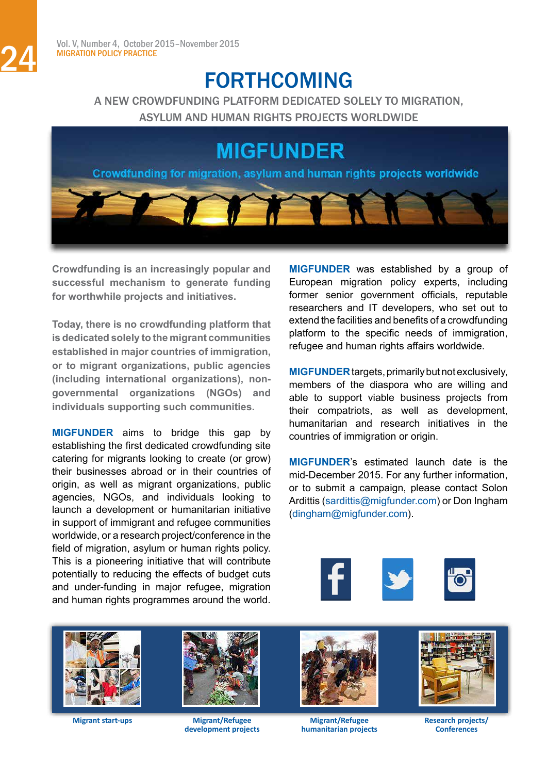### FORTHCOMING

A NEW CROWDFUNDING PLATFORM DEDICATED SOLELY TO MIGRATION, ASYLUM AND HUMAN RIGHTS PROJECTS WORLDWIDE

### **MIGFUNDER**

Crowdfunding for migration, asylum and human rights projects worldwide

**Crowdfunding is an increasingly popular and successful mechanism to generate funding for worthwhile projects and initiatives.** 

**Today, there is no crowdfunding platform that is dedicated solely to the migrant communities established in major countries of immigration, or to migrant organizations, public agencies (including international organizations), nongovernmental organizations (NGOs) and individuals supporting such communities.**

**MIGFUNDER** aims to bridge this gap by establishing the first dedicated crowdfunding site catering for migrants looking to create (or grow) their businesses abroad or in their countries of origin, as well as migrant organizations, public agencies, NGOs, and individuals looking to launch a development or humanitarian initiative in support of immigrant and refugee communities worldwide, or a research project/conference in the field of migration, asylum or human rights policy. This is a pioneering initiative that will contribute potentially to reducing the effects of budget cuts and under-funding in major refugee, migration and human rights programmes around the world.

**MIGFUNDER** was established by a group of European migration policy experts, including former senior government officials, reputable researchers and IT developers, who set out to extend the facilities and benefits of a crowdfunding platform to the specific needs of immigration, refugee and human rights affairs worldwide.

**MIGFUNDER** targets, primarily but not exclusively, members of the diaspora who are willing and able to support viable business projects from their compatriots, as well as development, humanitarian and research initiatives in the countries of immigration or origin.

**MIGFUNDER**'s estimated launch date is the mid-December 2015. For any further information, or to submit a campaign, please contact Solon Ardittis [\(sardittis@migfunder.com](mailto:sardittis%40migfunder.com?subject=)) or Don Ingham [\(dingham@migfunder.com\)](mailto:dingham%40migfunder.com?subject=).





**Migrant start-ups**



**Migrant/Refugee development projects**



**Migrant/Refugee humanitarian projects**



**Research projects/ Conferences**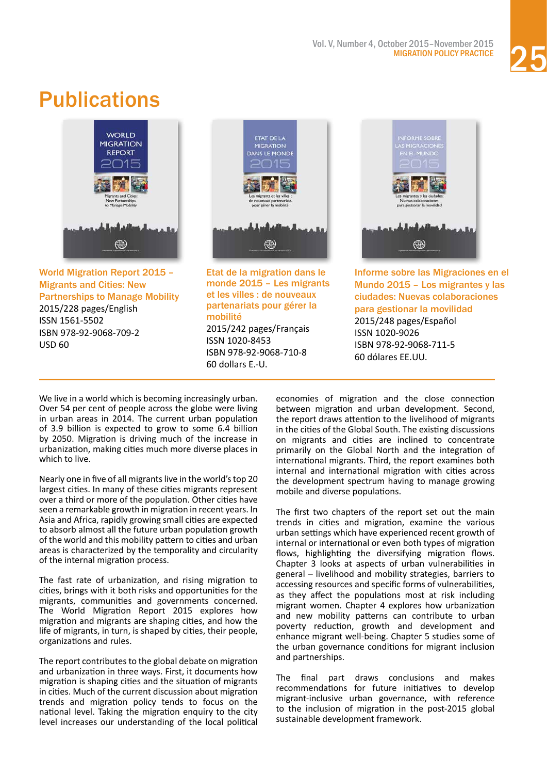

## <span id="page-24-0"></span>**Publications**



[World Migration Report 2015 –](http://publications.iom.int/books/world-migration-report-2015-migrants-and-cities-new-partnerships-manage-mobility?language=en)  [Migrants and Cities: New](http://publications.iom.int/books/world-migration-report-2015-migrants-and-cities-new-partnerships-manage-mobility?language=en)  [Partnerships to Manage Mobility](http://publications.iom.int/books/world-migration-report-2015-migrants-and-cities-new-partnerships-manage-mobility?language=en)

2015/228 pages/English ISSN 1561-5502 ISBN 978-92-9068-709-2 USD 60



[Etat de la migration dans le](http://publications.iom.int/books/etat-de-la-migration-dans-le-monde-2015-les-migrants-et-les-villes-de-nouveaux-partenariats?language=en)  [monde 2015 – Les migrants](http://publications.iom.int/books/etat-de-la-migration-dans-le-monde-2015-les-migrants-et-les-villes-de-nouveaux-partenariats?language=en)  [et les villes : de nouveaux](http://publications.iom.int/books/etat-de-la-migration-dans-le-monde-2015-les-migrants-et-les-villes-de-nouveaux-partenariats?language=en)  [partenariats pour gérer la](http://publications.iom.int/books/etat-de-la-migration-dans-le-monde-2015-les-migrants-et-les-villes-de-nouveaux-partenariats?language=en)  [mobilité](http://publications.iom.int/books/etat-de-la-migration-dans-le-monde-2015-les-migrants-et-les-villes-de-nouveaux-partenariats?language=en) 2015/242 pages/Français

ISSN 1020-8453 ISBN 978-92-9068-710-8 60 dollars E.-U.



[Informe sobre las Migraciones en el](http://publications.iom.int/books/informe-sobre-las-migraciones-en-el-mundo-2015-los-migrantes-y-las-ciudades-nuevas?language=en)  [Mundo 2015 – Los migrantes y las](http://publications.iom.int/books/informe-sobre-las-migraciones-en-el-mundo-2015-los-migrantes-y-las-ciudades-nuevas?language=en)  [ciudades: Nuevas colaboraciones](http://publications.iom.int/books/informe-sobre-las-migraciones-en-el-mundo-2015-los-migrantes-y-las-ciudades-nuevas?language=en)  [para gestionar la movilidad](http://publications.iom.int/books/informe-sobre-las-migraciones-en-el-mundo-2015-los-migrantes-y-las-ciudades-nuevas?language=en) 2015/248 pages/Español ISSN 1020-9026 ISBN 978-92-9068-711-5 60 dólares EE.UU.

We live in a world which is becoming increasingly urban. Over 54 per cent of people across the globe were living in urban areas in 2014. The current urban population of 3.9 billion is expected to grow to some 6.4 billion by 2050. Migration is driving much of the increase in urbanization, making cities much more diverse places in which to live.

Nearly one in five of all migrants live in the world's top 20 largest cities. In many of these cities migrants represent over a third or more of the population. Other cities have seen a remarkable growth in migration in recent years. In Asia and Africa, rapidly growing small cities are expected to absorb almost all the future urban population growth of the world and this mobility pattern to cities and urban areas is characterized by the temporality and circularity of the internal migration process.

The fast rate of urbanization, and rising migration to cities, brings with it both risks and opportunities for the migrants, communities and governments concerned. The World Migration Report 2015 explores how migration and migrants are shaping cities, and how the life of migrants, in turn, is shaped by cities, their people, organizations and rules.

The report contributes to the global debate on migration and urbanization in three ways. First, it documents how migration is shaping cities and the situation of migrants in cities. Much of the current discussion about migration trends and migration policy tends to focus on the national level. Taking the migration enquiry to the city level increases our understanding of the local political economies of migration and the close connection between migration and urban development. Second, the report draws attention to the livelihood of migrants in the cities of the Global South. The existing discussions on migrants and cities are inclined to concentrate primarily on the Global North and the integration of international migrants. Third, the report examines both internal and international migration with cities across the development spectrum having to manage growing mobile and diverse populations.

The first two chapters of the report set out the main trends in cities and migration, examine the various urban settings which have experienced recent growth of internal or international or even both types of migration flows, highlighting the diversifying migration flows. Chapter 3 looks at aspects of urban vulnerabilities in general – livelihood and mobility strategies, barriers to accessing resources and specific forms of vulnerabilities, as they affect the populations most at risk including migrant women. Chapter 4 explores how urbanization and new mobility patterns can contribute to urban poverty reduction, growth and development and enhance migrant well-being. Chapter 5 studies some of the urban governance conditions for migrant inclusion and partnerships.

The final part draws conclusions and makes recommendations for future initiatives to develop migrant-inclusive urban governance, with reference to the inclusion of migration in the post-2015 global sustainable development framework.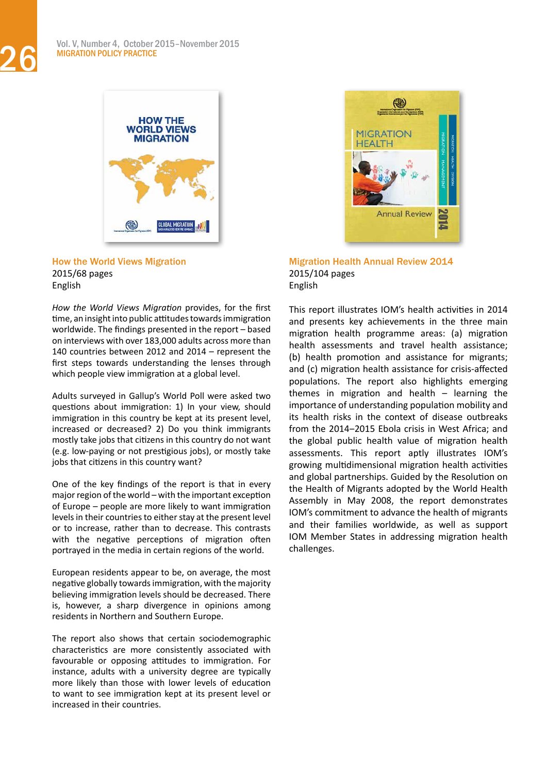

[How the World Views Migration](http://publications.iom.int/books/how-world-views-migration?language=en) 2015/68 pages English

*How the World Views Migration* provides, for the first time, an insight into public attitudes towards immigration worldwide. The findings presented in the report – based on interviews with over 183,000 adults across more than 140 countries between 2012 and 2014 – represent the first steps towards understanding the lenses through which people view immigration at a global level.

Adults surveyed in Gallup's World Poll were asked two questions about immigration: 1) In your view, should immigration in this country be kept at its present level, increased or decreased? 2) Do you think immigrants mostly take jobs that citizens in this country do not want (e.g. low-paying or not prestigious jobs), or mostly take jobs that citizens in this country want?

One of the key findings of the report is that in every major region of the world – with the important exception of Europe – people are more likely to want immigration levels in their countries to either stay at the present level or to increase, rather than to decrease. This contrasts with the negative perceptions of migration often portrayed in the media in certain regions of the world.

European residents appear to be, on average, the most negative globally towardsimmigration, with the majority believing immigration levels should be decreased. There is, however, a sharp divergence in opinions among residents in Northern and Southern Europe.

The report also shows that certain sociodemographic characteristics are more consistently associated with favourable or opposing attitudes to immigration. For instance, adults with a university degree are typically more likely than those with lower levels of education to want to see immigration kept at its present level or increased in their countries.



[Migration Health Annual Review 2014](http://publications.iom.int/books/migration-health-annual-review-2014) 2015/104 pages English

This report illustrates IOM's health activities in 2014 and presents key achievements in the three main migration health programme areas: (a) migration health assessments and travel health assistance; (b) health promotion and assistance for migrants; and (c) migration health assistance for crisis-affected populations. The report also highlights emerging themes in migration and health – learning the importance of understanding population mobility and its health risks in the context of disease outbreaks from the 2014-2015 Ebola crisis in West Africa; and the global public health value of migration health assessments. This report aptly illustrates IOM's growing multidimensional migration health activities and global partnerships. Guided by the Resolution on the Health of Migrants adopted by the World Health Assembly in May 2008, the report demonstrates IOM's commitment to advance the health of migrants and their families worldwide, as well as support IOM Member States in addressing migration health challenges.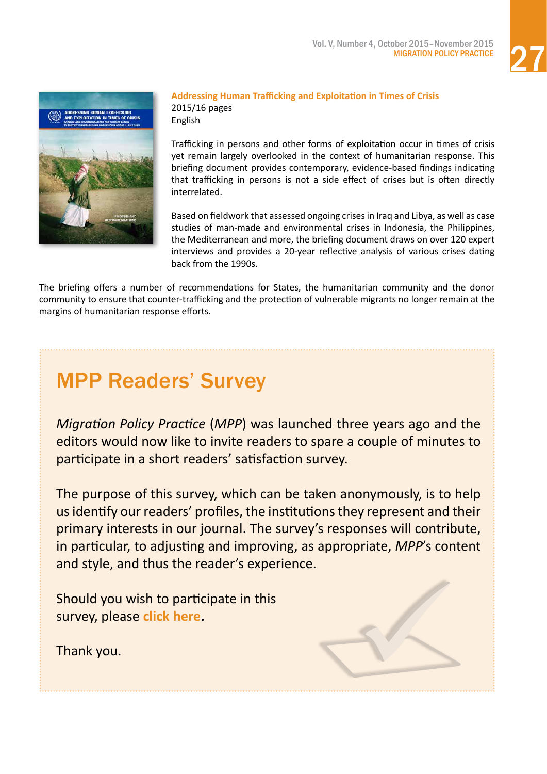

<span id="page-26-0"></span>

#### **[Addressing Human Trafficking and Exploitation in Times of Crisis](http://publications.iom.int/books/addressing-human-trafficking-and-exploitation-times-crisis)**  2015/16 pages

English

Trafficking in persons and other forms of exploitation occur in times of crisis yet remain largely overlooked in the context of humanitarian response. This briefing document provides contemporary, evidence-based findings indicating that trafficking in persons is not a side effect of crises but is often directly interrelated.

Based on fieldwork that assessed ongoing crisesin Iraq and Libya, as well as case studies of man-made and environmental crises in Indonesia, the Philippines, the Mediterranean and more, the briefing document draws on over 120 expert interviews and provides a 20-year reflective analysis of various crises dating back from the 1990s.

The briefing offers a number of recommendations for States, the humanitarian community and the donor community to ensure that counter-trafficking and the protection of vulnerable migrants no longer remain at the margins of humanitarian response efforts.

### MPP Readers' Survey

*Migration Policy Practice* (*MPP*) was launched three years ago and the editors would now like to invite readers to spare a couple of minutes to participate in a short readers' satisfaction survey.

The purpose of this survey, which can be taken anonymously, is to help usidentify our readers' profiles, the institutionsthey represent and their primary interests in our journal. The survey's responses will contribute, in particular, to adjusting and improving, as appropriate, *MPP*'s content and style, and thus the reader's experience.

Should you wish to participate in this survey, please **[click here](https://www.surveymonkey.com/s/J3M7PS5).**

Thank you.